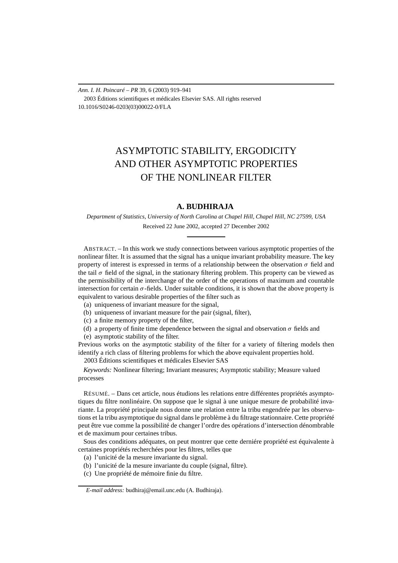*Ann. I. H. Poincaré – PR* 39, 6 (2003) 919–941 2003 Éditions scientifiques et médicales Elsevier SAS. All rights reserved 10.1016/S0246-0203(03)00022-0/FLA

# ASYMPTOTIC STABILITY, ERGODICITY AND OTHER ASYMPTOTIC PROPERTIES OF THE NONLINEAR FILTER

# **A. BUDHIRAJA**

*Department of Statistics, University of North Carolina at Chapel Hill, Chapel Hill, NC 27599, USA* Received 22 June 2002, accepted 27 December 2002

ABSTRACT. – In this work we study connections between various asymptotic properties of the nonlinear filter. It is assumed that the signal has a unique invariant probability measure. The key property of interest is expressed in terms of a relationship between the observation  $\sigma$  field and the tail  $\sigma$  field of the signal, in the stationary filtering problem. This property can be viewed as the permissibility of the interchange of the order of the operations of maximum and countable intersection for certain  $\sigma$ -fields. Under suitable conditions, it is shown that the above property is equivalent to various desirable properties of the filter such as

- (a) uniqueness of invariant measure for the signal,
- (b) uniqueness of invariant measure for the pair (signal, filter),
- (c) a finite memory property of the filter,
- (d) a property of finite time dependence between the signal and observation  $\sigma$  fields and
- (e) asymptotic stability of the filter.

Previous works on the asymptotic stability of the filter for a variety of filtering models then identify a rich class of filtering problems for which the above equivalent properties hold. 2003 Éditions scientifiques et médicales Elsevier SAS

*Keywords:* Nonlinear filtering; Invariant measures; Asymptotic stability; Measure valued processes

RÉSUMÉ. – Dans cet article, nous étudions les relations entre différentes propriétés asymptotiques du filtre nonlinéaire. On suppose que le signal à une unique mesure de probabilité invariante. La propriété principale nous donne une relation entre la tribu engendrée par les observations et la tribu asymptotique du signal dans le problème à du filtrage stationnaire. Cette propriété peut être vue comme la possibilité de changer l'ordre des opérations d'intersection dénombrable et de maximum pour certaines tribus.

Sous des conditions adéquates, on peut montrer que cette derniére propriété est équivalente à certaines propriétés recherchées pour les filtres, telles que

- (a) l'unicité de la mesure invariante du signal.
- (b) l'unicité de la mesure invariante du couple (signal, filtre).
- (c) Une propriété de mémoire finie du filtre.

*E-mail address:* budhiraj@email.unc.edu (A. Budhiraja).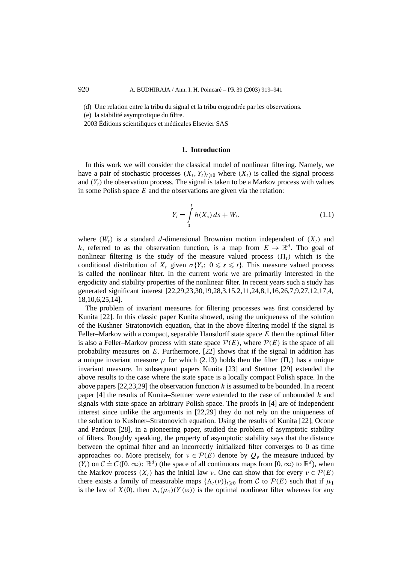(d) Une relation entre la tribu du signal et la tribu engendrée par les observations.

(e) la stabilité asymptotique du filtre.

2003 Éditions scientifiques et médicales Elsevier SAS

# **1. Introduction**

In this work we will consider the classical model of nonlinear filtering. Namely, we have a pair of stochastic processes  $(X_t, Y_t)_{t\geq0}$  where  $(X_t)$  is called the signal process and  $(Y_t)$  the observation process. The signal is taken to be a Markov process with values in some Polish space *E* and the observations are given via the relation:

$$
Y_t = \int_0^t h(X_s) \, ds + W_t,\tag{1.1}
$$

where  $(W_t)$  is a standard *d*-dimensional Brownian motion independent of  $(X_t)$  and *h*, referred to as the observation function, is a map from  $E \to \mathbb{R}^d$ . Tho goal of nonlinear filtering is the study of the measure valued process  $(\Pi_t)$  which is the conditional distribution of  $X_t$  given  $\sigma\{Y_s: 0 \leq s \leq t\}$ . This measure valued process is called the nonlinear filter. In the current work we are primarily interested in the ergodicity and stability properties of the nonlinear filter. In recent years such a study has generated significant interest [22,29,23,30,19,28,3,15,2,11,24,8,1,16,26,7,9,27,12,17,4, 18,10,6,25,14].

The problem of invariant measures for filtering processes was first considered by Kunita [22]. In this classic paper Kunita showed, using the uniqueness of the solution of the Kushner–Stratonovich equation, that in the above filtering model if the signal is Feller–Markov with a compact, separable Hausdorff state space *E* then the optimal filter is also a Feller–Markov process with state space  $\mathcal{P}(E)$ , where  $\mathcal{P}(E)$  is the space of all probability measures on *E*. Furthermore, [22] shows that if the signal in addition has a unique invariant measure  $\mu$  for which (2.13) holds then the filter  $(\Pi_t)$  has a unique invariant measure. In subsequent papers Kunita [23] and Stettner [29] extended the above results to the case where the state space is a locally compact Polish space. In the above papers [22,23,29] the observation function *h* is assumed to be bounded. In a recent paper [4] the results of Kunita–Stettner were extended to the case of unbounded *h* and signals with state space an arbitrary Polish space. The proofs in [4] are of independent interest since unlike the arguments in [22,29] they do not rely on the uniqueness of the solution to Kushner–Stratonovich equation. Using the results of Kunita [22], Ocone and Pardoux [28], in a pioneering paper, studied the problem of asymptotic stability of filters. Roughly speaking, the property of asymptotic stability says that the distance between the optimal filter and an incorrectly initialized filter converges to 0 as time approaches  $\infty$ . More precisely, for  $v \in \mathcal{P}(E)$  denote by  $Q_v$  the measure induced by *(Y<sub>t</sub>)* on  $C$  ≐  $C([0, \infty)$ :  $\mathbb{R}^d$ ) (the space of all continuous maps from [0, ∞) to  $\mathbb{R}^d$ ), when the Markov process  $(X_t)$  has the initial law *ν*. One can show that for every  $v \in \mathcal{P}(E)$ there exists a family of measurable maps  $\{\Lambda_t(v)\}_{t>0}$  from C to  $\mathcal{P}(E)$  such that if  $\mu_1$ is the law of  $X(0)$ , then  $\Lambda_t(\mu_1)(Y(\omega))$  is the optimal nonlinear filter whereas for any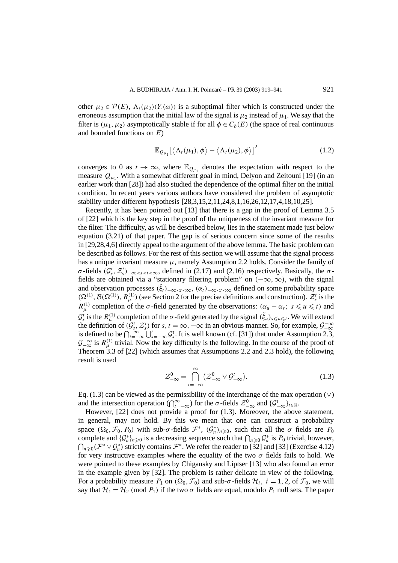other  $\mu_2 \in \mathcal{P}(E)$ ,  $\Lambda_t(\mu_2)(Y(\omega))$  is a suboptimal filter which is constructed under the erroneous assumption that the initial law of the signal is  $\mu_2$  instead of  $\mu_1$ . We say that the filter is  $(\mu_1, \mu_2)$  asymptotically stable if for all  $\phi \in C_b(E)$  (the space of real continuous and bounded functions on *E*)

$$
\mathbb{E}_{Q_{\mu_1}}[\langle\Lambda_t(\mu_1),\phi\rangle-\langle\Lambda_t(\mu_2),\phi\rangle]^2
$$
 (1.2)

converges to 0 as  $t \to \infty$ , where  $\mathbb{E}_{Q_{\mu_1}}$  denotes the expectation with respect to the measure  $Q_{\mu_1}$ . With a somewhat different goal in mind, Delyon and Zeitouni [19] (in an earlier work than [28]) had also studied the dependence of the optimal filter on the initial condition. In recent years various authors have considered the problem of asymptotic stability under different hypothesis [28,3,15,2,11,24,8,1,16,26,12,17,4,18,10,25].

Recently, it has been pointed out [13] that there is a gap in the proof of Lemma 3.5 of [22] which is the key step in the proof of the uniqueness of the invariant measure for the filter. The difficulty, as will be described below, lies in the statement made just below equation (3.21) of that paper. The gap is of serious concern since some of the results in [29,28,4,6] directly appeal to the argument of the above lemma. The basic problem can be described as follows. For the rest of this section we will assume that the signal process has a unique invariant measure  $\mu$ , namely Assumption 2.2 holds. Consider the family of *σ*-fields  $(G_s^t, \mathcal{Z}_s^t)$ <sub>-∞</sub> $\lt s$ <sub>s</sub> $\lt t$  $\lt \infty$ , defined in (2.17) and (2.16) respectively. Basically, the *σ*fields are obtained via a "stationary filtering problem" on  $(-\infty, \infty)$ , with the signal and observation processes  $(\tilde{\xi}_t)$ <sub>−∞</sub>*<t*<∞,  $(\alpha_t)$ <sub>−∞</sub>*<t*<∞ defined on some probability space  $(\Omega^{(1)}, \mathcal{B}(\Omega^{(1)}), R_\mu^{(1)})$  (see Section 2 for the precise definitions and construction).  $\mathcal{Z}_s^t$  is the *R*<sup>(1)</sup>)</sub> completion of the *σ*-field generated by the observations:  $(\alpha_u - \alpha_s; s \le u \le t)$  and  $G_s^t$  is the  $R_\mu^{(1)}$  completion of the *σ*-field generated by the signal  $(\tilde{\xi}_u)_{s\leq u\leq t}$ . We will extend the definition of  $(G_s^t, \mathcal{Z}_s^t)$  for  $s, t = \infty, -\infty$  in an obvious manner. So, for example,  $\mathcal{G}_{-\infty}^{-\infty}$  is defined to be  $\bigcap_{t=-\infty}^{-\infty} \bigcup_{s=-\infty}^{t} G_s^t$ . It is well known (cf. [31]) that under Assumption 2.3,  $\mathcal{G}^{-\infty}_{-\infty}$  is  $R_{\mu}^{(1)}$  trivial. Now the key difficulty is the following. In the course of the proof of Theorem 3.3 of [22] (which assumes that Assumptions 2.2 and 2.3 hold), the following result is used

$$
\mathcal{Z}_{-\infty}^{0} = \bigcap_{t=-\infty}^{\infty} \left( \mathcal{Z}_{-\infty}^{0} \vee \mathcal{G}_{-\infty}^{t} \right).
$$
 (1.3)

Eq. (1.3) can be viewed as the permissibility of the interchange of the max operation  $(\vee)$ and the intersection operation  $(\bigcap_{t=-\infty}^{\infty})$  for the *σ*-fields  $\mathcal{Z}_{-\infty}^{0}$  and  $\{\mathcal{G}_{-\infty}^{t}\}_{t\in\mathbb{R}}$ .

However, [22] does not provide a proof for (1.3). Moreover, the above statement, in general, may not hold. By this we mean that one can construct a probability space  $(\Omega_0, \mathcal{F}_0, P_0)$  with sub- $\sigma$ -fields  $\mathcal{F}^*$ ,  $(\mathcal{G}_n^*)_{n \geq 0}$ , such that all the  $\sigma$  fields are  $P_0$ complete and  $\{\mathcal{G}_n^*\}_{n\geq 0}$  is a decreasing sequence such that  $\bigcap_{n\geq 0} \mathcal{G}_n^*$  is  $P_0$  trivial, however,  $\bigcap_{n\geq 0}$  ( $\mathcal{F}^* \vee \mathcal{G}_n^*$ ) strictly contains  $\mathcal{F}^*$ . We refer the reader to [32] and [33] (Exercise 4.12) for very instructive examples where the equality of the two  $\sigma$  fields fails to hold. We were pointed to these examples by Chigansky and Liptser [13] who also found an error in the example given by [32]. The problem is rather delicate in view of the following. For a probability measure  $P_1$  on  $(\Omega_0, \mathcal{F}_0)$  and sub- $\sigma$ -fields  $\mathcal{H}_i$ ,  $i = 1, 2$ , of  $\mathcal{F}_0$ , we will say that  $\mathcal{H}_1 = \mathcal{H}_2$  (mod  $P_1$ ) if the two  $\sigma$  fields are equal, modulo  $P_1$  null sets. The paper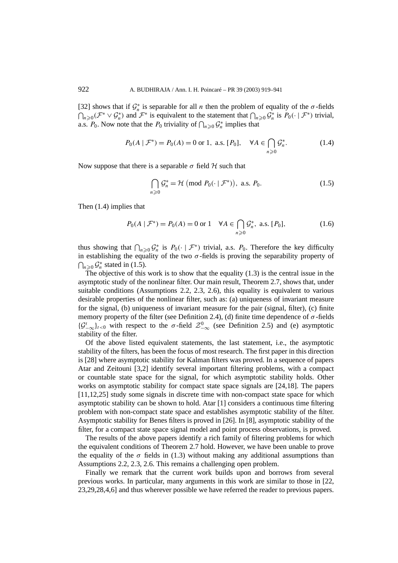[32] shows that if  $G_n^*$  is separable for all *n* then the problem of equality of the  $\sigma$ -fields  $\bigcap_{n\geqslant 0}$  ( $\mathcal{F}^* \vee \mathcal{G}_n^*$ ) and  $\mathcal{F}^*$  is equivalent to the statement that  $\bigcap_{n\geqslant 0}$   $\mathcal{G}_n^*$  is  $P_0(\cdot \mid \mathcal{F}^*)$  trivial, a.s. *P*<sub>0</sub>. Now note that the *P*<sub>0</sub> triviality of  $\bigcap_{n\geq 0} G_n^*$  implies that

$$
P_0(A \mid \mathcal{F}^*) = P_0(A) = 0 \text{ or } 1, \text{ a.s. } [P_0], \quad \forall A \in \bigcap_{n \ge 0} \mathcal{G}_n^*.
$$
 (1.4)

Now suppose that there is a separable  $\sigma$  field  $\mathcal H$  such that

$$
\bigcap_{n\geqslant 0} \mathcal{G}_n^* = \mathcal{H} \text{ (mod } P_0(\cdot \mid \mathcal{F}^*)\text{), a.s. } P_0. \tag{1.5}
$$

Then (1.4) implies that

$$
P_0(A \mid \mathcal{F}^*) = P_0(A) = 0 \text{ or } 1 \quad \forall A \in \bigcap_{n \ge 0} \mathcal{G}_n^*, \text{ a.s. } [P_0], \tag{1.6}
$$

thus showing that  $\bigcap_{n\geqslant 0}\mathcal{G}_n^*$  is  $P_0(\cdot \mid \mathcal{F}^*)$  trivial, a.s.  $P_0$ . Therefore the key difficulty in establishing the equality of the two  $\sigma$ -fields is proving the separability property of  $\bigcap_{n\geq 0}\mathcal{G}_n^*$  stated in (1.5).

The objective of this work is to show that the equality  $(1.3)$  is the central issue in the asymptotic study of the nonlinear filter. Our main result, Theorem 2.7, shows that, under suitable conditions (Assumptions 2.2, 2.3, 2.6), this equality is equivalent to various desirable properties of the nonlinear filter, such as: (a) uniqueness of invariant measure for the signal, (b) uniqueness of invariant measure for the pair (signal, filter), (c) finite memory property of the filter (see Definition 2.4), (d) finite time dependence of *σ* -fields  $\{\mathcal{G}_{-\infty}^t\}_{t\leq0}$  with respect to the *σ*-field  $\mathcal{Z}_{-\infty}^0$  (see Definition 2.5) and (e) asymptotic stability of the filter.

Of the above listed equivalent statements, the last statement, i.e., the asymptotic stability of the filters, has been the focus of most research. The first paper in this direction is [28] where asymptotic stability for Kalman filters was proved. In a sequence of papers Atar and Zeitouni [3,2] identify several important filtering problems, with a compact or countable state space for the signal, for which asymptotic stability holds. Other works on asymptotic stability for compact state space signals are [24,18]. The papers [11,12,25] study some signals in discrete time with non-compact state space for which asymptotic stability can be shown to hold. Atar [1] considers a continuous time filtering problem with non-compact state space and establishes asymptotic stability of the filter. Asymptotic stability for Benes filters is proved in [26]. In [8], asymptotic stability of the filter, for a compact state space signal model and point process observations, is proved.

The results of the above papers identify a rich family of filtering problems for which the equivalent conditions of Theorem 2.7 hold. However, we have been unable to prove the equality of the  $\sigma$  fields in (1.3) without making any additional assumptions than Assumptions 2.2, 2.3, 2.6. This remains a challenging open problem.

Finally we remark that the current work builds upon and borrows from several previous works. In particular, many arguments in this work are similar to those in [22, 23,29,28,4,6] and thus wherever possible we have referred the reader to previous papers.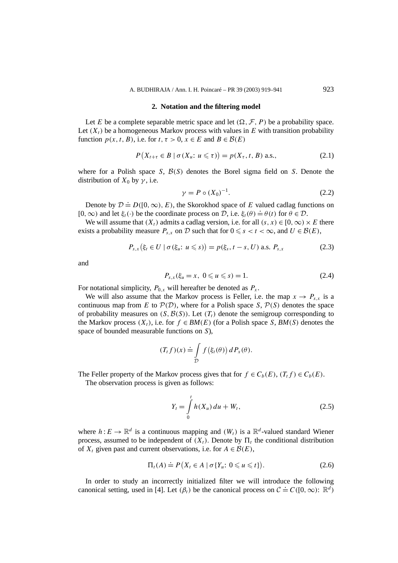### **2. Notation and the filtering model**

Let *E* be a complete separable metric space and let  $(\Omega, \mathcal{F}, P)$  be a probability space. Let  $(X_t)$  be a homogeneous Markov process with values in *E* with transition probability function  $p(x, t, B)$ , i.e. for  $t, \tau > 0$ ,  $x \in E$  and  $B \in \mathcal{B}(E)$ 

$$
P(X_{t+\tau} \in B \mid \sigma(X_u: u \leq \tau)) = p(X_{\tau}, t, B) \text{ a.s.},
$$
\n
$$
(2.1)
$$

where for a Polish space *S*,  $B(S)$  denotes the Borel sigma field on *S*. Denote the distribution of  $X_0$  by  $\gamma$ , i.e.

$$
\gamma = P \circ (X_0)^{-1}.\tag{2.2}
$$

Denote by  $\mathcal{D} \doteq D([0,\infty), E)$ , the Skorokhod space of *E* valued cadlag functions on  $[0, \infty)$  and let  $\xi_t(\cdot)$  be the coordinate process on D, i.e.  $\xi_t(\theta) = \theta(t)$  for  $\theta \in \mathcal{D}$ .

We will assume that  $(X_t)$  admits a cadlag version, i.e. for all  $(s, x) \in [0, \infty) \times E$  there exists a probability measure  $P_{s,x}$  on D such that for  $0 \le s < t < \infty$ , and  $U \in \mathcal{B}(E)$ ,

$$
P_{s,x}(\xi_t \in U \mid \sigma(\xi_u: u \le s)) = p(\xi_s, t - s, U) \text{ a.s. } P_{s,x}
$$
 (2.3)

and

$$
P_{s,x}(\xi_u = x, \ 0 \leq u \leq s) = 1. \tag{2.4}
$$

For notational simplicity,  $P_{0,x}$  will hereafter be denoted as  $P_x$ .

We will also assume that the Markov process is Feller, i.e. the map  $x \to P_{s,x}$  is a continuous map from *E* to  $P(D)$ , where for a Polish space *S*,  $P(S)$  denotes the space of probability measures on  $(S, \mathcal{B}(S))$ . Let  $(T_t)$  denote the semigroup corresponding to the Markov process  $(X_t)$ , i.e. for  $f \in BM(E)$  (for a Polish space *S*, *BM(S)* denotes the space of bounded measurable functions on *S*),

$$
(T_t f)(x) \doteq \int_{\mathcal{D}} f(\xi_t(\theta)) dP_x(\theta).
$$

The Feller property of the Markov process gives that for  $f \in C_b(E)$ ,  $(T_t f) \in C_b(E)$ .

The observation process is given as follows:

$$
Y_t = \int_0^t h(X_u) \, du + W_t,\tag{2.5}
$$

where  $h: E \to \mathbb{R}^d$  is a continuous mapping and  $(W_t)$  is a  $\mathbb{R}^d$ -valued standard Wiener process, assumed to be independent of  $(X_t)$ . Denote by  $\Pi_t$  the conditional distribution of  $X_t$  given past and current observations, i.e. for  $A \in \mathcal{B}(E)$ ,

$$
\Pi_t(A) \doteq P(X_t \in A \mid \sigma\{Y_u: 0 \leq u \leq t\}).\tag{2.6}
$$

In order to study an incorrectly initialized filter we will introduce the following canonical setting, used in [4]. Let  $(\beta_t)$  be the canonical process on  $\mathcal{C} \doteq C([0,\infty))$ :  $\mathbb{R}^d$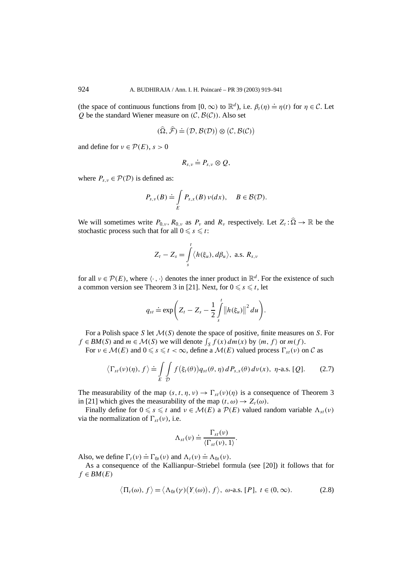(the space of continuous functions from  $[0, \infty)$  to  $\mathbb{R}^d$ ), i.e.  $\beta_t(\eta) \doteq \eta(t)$  for  $\eta \in \mathcal{C}$ . Let *Q* be the standard Wiener measure on  $(C, B(C))$ . Also set

$$
(\widehat{\Omega}, \widehat{\mathcal{F}}) \doteq (\mathcal{D}, \mathcal{B}(\mathcal{D})) \otimes (\mathcal{C}, \mathcal{B}(\mathcal{C}))
$$

and define for  $v \in \mathcal{P}(E)$ ,  $s > 0$ 

$$
R_{s,\nu}\doteq P_{s,\nu}\otimes Q,
$$

where  $P_{s,y} \in \mathcal{P}(\mathcal{D})$  is defined as:

$$
P_{s,\nu}(B) \doteq \int\limits_E P_{s,x}(B) \nu(dx), \quad B \in \mathcal{B}(\mathcal{D}).
$$

We will sometimes write  $P_{0,\nu}$ ,  $R_{0,\nu}$  as  $P_{\nu}$  and  $R_{\nu}$  respectively. Let  $Z_t : \hat{\Omega} \to \mathbb{R}$  be the stochastic process such that for all  $0 \leq s \leq t$ :

$$
Z_t - Z_s = \int_s^t \langle h(\xi_u), d\beta_u \rangle, \text{ a.s. } R_{s,v}
$$

for all  $v \in \mathcal{P}(E)$ , where  $\langle \cdot, \cdot \rangle$  denotes the inner product in  $\mathbb{R}^d$ . For the existence of such a common version see Theorem 3 in [21]. Next, for  $0 \le s \le t$ , let

$$
q_{st} \doteq \exp\bigg(Z_t - Z_s - \frac{1}{2}\int\limits_s^t \big\|h(\xi_u)\big\|^2 du\bigg).
$$

For a Polish space *S* let M*(S)* denote the space of positive, finite measures on *S*. For  $f \in BM(S)$  and  $m \in M(S)$  we will denote  $\int_S f(x) dm(x)$  by  $\langle m, f \rangle$  or  $m(f)$ .

For  $v \in \mathcal{M}(E)$  and  $0 \le s \le t < \infty$ , define a  $\mathcal{M}(E)$  valued process  $\Gamma_{st}(v)$  on C as

$$
\langle \Gamma_{st}(\nu)(\eta), f \rangle \doteq \iint_{E} f(\xi_t(\theta)) q_{st}(\theta, \eta) dP_{s,x}(\theta) d\nu(x), \eta\text{-a.s. [Q].}
$$
 (2.7)

The measurability of the map  $(s, t, \eta, v) \rightarrow \Gamma_{st}(v)(\eta)$  is a consequence of Theorem 3 in [21] which gives the measurability of the map  $(t, \omega) \rightarrow Z_t(\omega)$ .

Finally define for  $0 \le s \le t$  and  $v \in \mathcal{M}(E)$  a  $\mathcal{P}(E)$  valued random variable  $\Lambda_{st}(v)$ via the normalization of  $\Gamma_{st}(v)$ , i.e.

$$
\Lambda_{st}(\nu) \doteq \frac{\Gamma_{st}(\nu)}{\langle \Gamma_{st}(\nu), 1 \rangle}.
$$

Also, we define  $\Gamma_t(v) \doteq \Gamma_{0t}(v)$  and  $\Lambda_t(v) \doteq \Lambda_{0t}(v)$ .

As a consequence of the Kallianpur–Striebel formula (see [20]) it follows that for  $f \in BM(E)$ 

$$
\langle \Pi_t(\omega), f \rangle = \langle \Lambda_{0t}(\gamma) (Y_{\cdot}(\omega)), f \rangle, \quad \omega\text{-a.s. } [P], \quad t \in (0, \infty).
$$
 (2.8)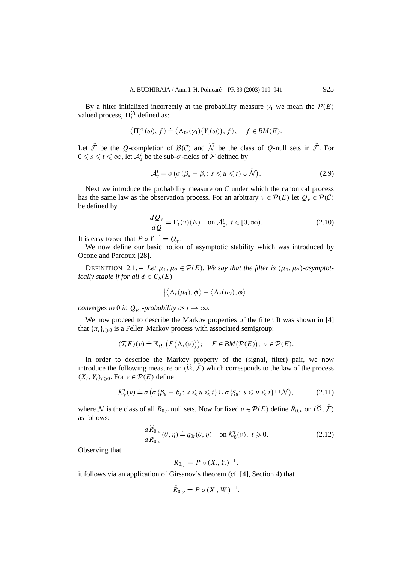By a filter initialized incorrectly at the probability measure  $\gamma_1$  we mean the  $\mathcal{P}(E)$ valued process,  $\Pi_t^{\gamma_1}$  defined as:

$$
\big\langle \Pi_l^{\gamma_1}(\omega), f \big\rangle \doteq \big\langle \Lambda_{0t}(\gamma_1) \big( Y_{.}(\omega) \big), f \big\rangle, \quad f \in BM(E).
$$

Let F be the Q-completion of  $B(C)$  and  $\mathcal N$  be the class of Q-null sets in F. For  $0 \le s \le t \le \infty$ , let  $\mathcal{A}_s^t$  be the sub- $\sigma$ -fields of  $\widetilde{\mathcal{F}}$  defined by

$$
\mathcal{A}_{s}^{t} = \sigma \left( \sigma \left( \beta_{u} - \beta_{s} : s \leq u \leq t \right) \cup \widetilde{\mathcal{N}} \right).
$$
 (2.9)

Next we introduce the probability measure on  $\mathcal C$  under which the canonical process has the same law as the observation process. For an arbitrary  $v \in \mathcal{P}(E)$  let  $Q_v \in \mathcal{P}(\mathcal{C})$ be defined by

$$
\frac{dQ_v}{dQ} = \Gamma_t(v)(E) \quad \text{on } \mathcal{A}_0^t, \ t \in [0, \infty). \tag{2.10}
$$

It is easy to see that  $P \circ Y^{-1} = Q_{\gamma}$ .

We now define our basic notion of asymptotic stability which was introduced by Ocone and Pardoux [28].

DEFINITION 2.1. – Let  $\mu_1, \mu_2 \in \mathcal{P}(E)$ *. We say that the filter is*  $(\mu_1, \mu_2)$ *-asymptotically stable if for all*  $\phi \in C_b(E)$ 

$$
\big|\big\langle\Lambda_t(\mu_1),\phi\big\rangle-\big\langle\Lambda_t(\mu_2),\phi\big\rangle\big|
$$

*converges to* 0 *in*  $Q_{\mu_1}$ -probability as  $t \to \infty$ .

We now proceed to describe the Markov properties of the filter. It was shown in [4] that  ${\lbrace \pi_t \rbrace}_{t \geq 0}$  is a Feller–Markov process with associated semigroup:

$$
(\mathcal{T}_t F)(v) \doteq \mathbb{E}_{Q_v}\big(F(\Lambda_t(v))\big); \quad F \in BM(\mathcal{P}(E)); \ v \in \mathcal{P}(E).
$$

In order to describe the Markov property of the (signal, filter) pair, we now introduce the following measure on  $(\hat{\Omega}, \hat{\mathcal{F}})$  which corresponds to the law of the process  $(X_t, Y_t)_{t \geq 0}$ . For  $v \in \mathcal{P}(E)$  define

$$
\mathcal{K}_s^t(v) \doteq \sigma \big( \sigma \{ \beta_u - \beta_s : s \leq u \leq t \} \cup \sigma \{ \xi_u : s \leq u \leq t \} \cup \mathcal{N} \big), \tag{2.11}
$$

where N is the class of all  $R_{0,\nu}$  null sets. Now for fixed  $\nu \in \mathcal{P}(E)$  define  $\widehat{R}_{0,\nu}$  on  $(\widehat{\Omega}, \widehat{\mathcal{F}})$ as follows:

$$
\frac{d\hat{R}_{0,\nu}}{dR_{0,\nu}}(\theta,\eta) \doteq q_{0t}(\theta,\eta) \quad \text{on } \mathcal{K}_0^t(\nu), \ t \geq 0.
$$
 (2.12)

*.*

Observing that

$$
R_{0,\gamma} = P \circ (X_{\cdot}, Y_{\cdot})^{-1},
$$

it follows via an application of Girsanov's theorem (cf. [4], Section 4) that

$$
\widehat{R}_{0,\gamma} = P \circ (X_{\cdot}, W_{\cdot})^{-1}
$$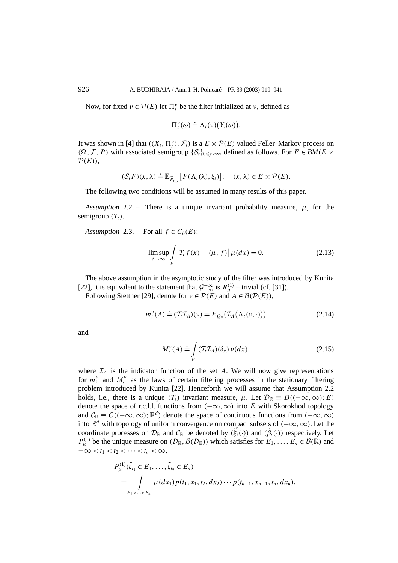Now, for fixed  $v \in \mathcal{P}(E)$  let  $\Pi_t^{\nu}$  be the filter initialized at  $\nu$ , defined as

$$
\Pi_t^{\nu}(\omega) \doteq \Lambda_t(\nu) \big(Y(\omega)\big).
$$

It was shown in [4] that  $((X_t, \Pi_t^{\nu}), \mathcal{F}_t)$  is a  $E \times \mathcal{P}(E)$  valued Feller–Markov process on  $(\Omega, \mathcal{F}, P)$  with associated semigroup  $\{S_t\}_{0 \le t < \infty}$  defined as follows. For *F* ∈ *BM*(*E* ×  $P(E)$ ),

$$
(\mathcal{S}_t F)(x,\lambda) \doteq \mathbb{E}_{\widehat{R}_{0,x}}[F(\Lambda_t(\lambda),\xi_t)]; \quad (x,\lambda) \in E \times \mathcal{P}(E).
$$

The following two conditions will be assumed in many results of this paper.

*Assumption* 2.2. – There is a unique invariant probability measure,  $\mu$ , for the semigroup  $(T_t)$ .

*Assumption* 2.3. – For all  $f \in C_b(E)$ :

$$
\limsup_{t \to \infty} \int\limits_{E} \left| T_t f(x) - \langle \mu, f \rangle \right| \mu(dx) = 0. \tag{2.13}
$$

The above assumption in the asymptotic study of the filter was introduced by Kunita [22], it is equivalent to the statement that  $\mathcal{G}^{-\infty}_{-\infty}$  is  $R^{(1)}_{\mu}$  – trivial (cf. [31]).

Following Stettner [29], denote for  $v \in \mathcal{P}(E)$  and  $A \in \mathcal{B}(\mathcal{P}(E))$ ,

$$
m_t^{\nu}(A) \doteq (\mathcal{T}_t \mathcal{I}_A)(\nu) = E_{Q_{\nu}}(\mathcal{I}_A(\Lambda_t(\nu, \cdot))) \tag{2.14}
$$

and

$$
M_t^{\nu}(A) \doteq \int\limits_E \left( T_t \mathcal{I}_A \right)(\delta_x) \, \nu(dx),\tag{2.15}
$$

where  $\mathcal{I}_A$  is the indicator function of the set  $A$ . We will now give representations for  $m_t^{\mu}$  and  $M_t^{\mu}$  as the laws of certain filtering processes in the stationary filtering problem introduced by Kunita [22]. Henceforth we will assume that Assumption 2.2 holds, i.e., there is a unique  $(T_t)$  invariant measure,  $\mu$ . Let  $\mathcal{D}_{\mathbb{R}} \equiv D((-\infty,\infty);E)$ denote the space of r.c.l.l. functions from  $(-\infty, \infty)$  into *E* with Skorokhod topology and  $\mathcal{C}_\mathbb{R} \equiv C((-\infty,\infty);\mathbb{R}^d)$  denote the space of continuous functions from  $(-\infty,\infty)$ into R*<sup>d</sup>* with topology of uniform convergence on compact subsets of *(*−∞*,*∞*)*. Let the coordinate processes on  $\mathcal{D}_{\mathbb{R}}$  and  $\mathcal{C}_{\mathbb{R}}$  be denoted by  $(\tilde{\xi}_t(\cdot))$  and  $(\tilde{\beta}_t(\cdot))$  respectively. Let  $P_{\mu}^{(1)}$  be the unique measure on  $(D_{\mathbb{R}}, \mathcal{B}(D_{\mathbb{R}}))$  which satisfies for  $E_1, \ldots, E_n \in \mathcal{B}(\mathbb{R})$  and  $-\infty < t_1 < t_2 < \cdots < t_n < \infty$ ,

$$
P_{\mu}^{(1)}(\tilde{\xi}_{t_1} \in E_1, \ldots, \tilde{\xi}_{t_n} \in E_n)
$$
  
= 
$$
\int_{E_1 \times \cdots \times E_n} \mu(dx_1) p(t_1, x_1, t_2, dx_2) \cdots p(t_{n-1}, x_{n-1}, t_n, dx_n).
$$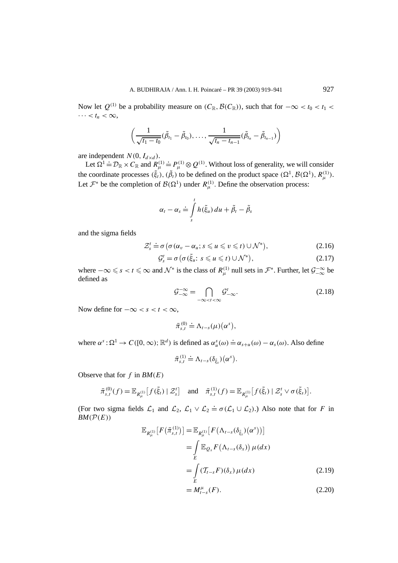Now let  $Q^{(1)}$  be a probability measure on  $(C_{\mathbb{R}}, \mathcal{B}(C_{\mathbb{R}}))$ , such that for  $-\infty < t_0 < t_1 <$  $\cdots < t_n < \infty$ ,

$$
\left(\frac{1}{\sqrt{t_1-t_0}}(\tilde{\beta}_{t_1}-\tilde{\beta}_{t_0}),\ldots,\frac{1}{\sqrt{t_n-t_{n-1}}}(\tilde{\beta}_{t_n}-\tilde{\beta}_{t_{n-1}})\right)
$$

are independent  $N(0, I_{d \times d})$ .

Let  $\Omega^1 \doteq \mathcal{D}_{\mathbb{R}} \times C_{\mathbb{R}}$  and  $R_{\mu}^{(1)} \doteq P_{\mu}^{(1)} \otimes Q^{(1)}$ . Without loss of generality, we will consider the coordinate processes  $(\tilde{\xi}_t)$ ,  $(\tilde{\beta}_t)$  to be defined on the product space  $(\Omega^1, \mathcal{B}(\Omega^1), R_\mu^{(1)})$ . Let  $\mathcal{F}^*$  be the completion of  $\mathcal{B}(\Omega^1)$  under  $R_\mu^{(1)}$ . Define the observation process:

$$
\alpha_t - \alpha_s \doteq \int\limits_s^t h(\tilde{\xi}_u) \, du + \tilde{\beta}_t - \tilde{\beta}_s
$$

and the sigma fields

$$
\mathcal{Z}_s^t \doteq \sigma \big( \sigma(\alpha_v - \alpha_u; s \leq u \leq v \leq t) \cup \mathcal{N}^* \big), \tag{2.16}
$$

$$
\mathcal{G}_{s}^{t} = \sigma \left( \sigma \left( \tilde{\xi}_{u} \colon s \leq u \leq t \right) \cup \mathcal{N}^{*} \right), \tag{2.17}
$$

where  $-\infty \le s < t \le \infty$  and  $\mathcal{N}^*$  is the class of  $R^{(1)}_{\mu}$  null sets in  $\mathcal{F}^*$ . Further, let  $\mathcal{G}^{-\infty}_{-\infty}$  be defined as

$$
\mathcal{G}_{-\infty}^{-\infty} = \bigcap_{-\infty < t < \infty} \mathcal{G}_{-\infty}^t. \tag{2.18}
$$

Now define for  $-\infty < s < t < \infty$ ,

$$
\bar{\pi}_{s,t}^{(0)} \doteq \Lambda_{t-s}(\mu)(\alpha^s),
$$

where  $\alpha^s : \Omega^1 \to C([0,\infty); \mathbb{R}^d)$  is defined as  $\alpha^s_u(\omega) \doteq \alpha_{s+u}(\omega) - \alpha_s(\omega)$ . Also define

$$
\bar{\pi}_{s,t}^{(1)} \doteq \Lambda_{t-s}(\delta_{\tilde{\xi}_s})\big(\alpha^s\big)
$$

Observe that for *f* in *BM(E)*

$$
\bar{\pi}_{s,t}^{(0)}(f) = \mathbb{E}_{R_{\mu}^{(1)}}[f(\tilde{\xi}_t) | \mathcal{Z}_s^t] \text{ and } \bar{\pi}_{s,t}^{(1)}(f) = \mathbb{E}_{R_{\mu}^{(1)}}[f(\tilde{\xi}_t) | \mathcal{Z}_s^t \vee \sigma(\tilde{\xi}_s)].
$$

(For two sigma fields  $\mathcal{L}_1$  and  $\mathcal{L}_2$ ,  $\mathcal{L}_1 \vee \mathcal{L}_2 = \sigma(\mathcal{L}_1 \cup \mathcal{L}_2)$ .) Also note that for *F* in  $BM(P(E))$ 

$$
\mathbb{E}_{R_{\mu}^{(1)}}[F(\bar{\pi}_{s,t}^{(1)})] = \mathbb{E}_{R_{\mu}^{(1)}}[F(\Lambda_{t-s}(\delta_{\tilde{\xi}_{s}})(\alpha^{s}))]
$$
  
\n
$$
= \int_{E} \mathbb{E}_{Q_{x}} F(\Lambda_{t-s}(\delta_{x})) \mu(dx)
$$
  
\n
$$
= \int_{E} (\mathcal{T}_{t-s}F)(\delta_{x}) \mu(dx) \qquad (2.19)
$$

*.*

$$
=M_{t-s}^{\mu}(F). \tag{2.20}
$$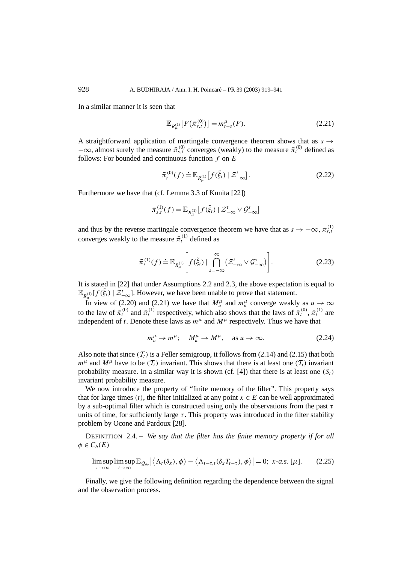In a similar manner it is seen that

$$
\mathbb{E}_{R_{\mu}^{(1)}}[F(\bar{\pi}_{s,t}^{(0)})] = m_{t-s}^{\mu}(F). \tag{2.21}
$$

A straightforward application of martingale convergence theorem shows that as  $s \rightarrow$  $-\infty$ , almost surely the measure  $\bar{\pi}_{s,t}^{(0)}$  converges (weakly) to the measure  $\bar{\pi}_{t}^{(0)}$  defined as follows: For bounded and continuous function *f* on *E*

$$
\bar{\pi}_t^{(0)}(f) \doteq \mathbb{E}_{R_\mu^{(1)}} \left[ f(\tilde{\xi}_t) \mid \mathcal{Z}_{-\infty}^t \right]. \tag{2.22}
$$

Furthermore we have that (cf. Lemma 3.3 of Kunita [22])

$$
\bar{\pi}_{s,t}^{(1)}(f) = \mathbb{E}_{R_{\mu}^{(1)}}[f(\tilde{\xi}_t) | \mathcal{Z}_{-\infty}^t \vee \mathcal{G}_{-\infty}^s]
$$

and thus by the reverse martingale convergence theorem we have that as  $s \to -\infty$ ,  $\bar{\pi}_{s,t}^{(1)}$  converges weakly to the measure  $\bar{\pi}_{t}^{(1)}$  defined as

$$
\bar{\pi}_t^{(1)}(f) \doteq \mathbb{E}_{R_\mu^{(1)}} \bigg[ f(\tilde{\xi}_t) \mid \bigcap_{s=-\infty}^{\infty} \left( \mathcal{Z}_{-\infty}^t \vee \mathcal{G}_{-\infty}^s \right) \bigg]. \tag{2.23}
$$

It is stated in [22] that under Assumptions 2.2 and 2.3, the above expectation is equal to  $\mathbb{E}_{R_{\mu}^{(1)}}[f(\tilde{\xi}_t) | \mathcal{Z}_{-\infty}^t]$ . However, we have been unable to prove that statement.

In view of (2.20) and (2.21) we have that  $M^{\mu}_{u}$  and  $m^{\mu}_{u}$  converge weakly as  $u \to \infty$ to the law of  $\bar{\pi}^{(0)}_t$  and  $\bar{\pi}^{(1)}_t$  respectively, which also shows that the laws of  $\bar{\pi}^{(0)}_t$ ,  $\bar{\pi}^{(1)}_t$  are independent of *t*. Denote these laws as  $m^{\mu}$  and  $M^{\mu}$  respectively. Thus we have that

$$
m_u^{\mu} \to m^{\mu}; \quad M_u^{\mu} \to M^{\mu}, \quad \text{as } u \to \infty. \tag{2.24}
$$

Also note that since  $(T_t)$  is a Feller semigroup, it follows from (2.14) and (2.15) that both  $m^{\mu}$  and  $M^{\mu}$  have to be  $(T_t)$  invariant. This shows that there is at least one  $(T_t)$  invariant probability measure. In a similar way it is shown (cf.  $[4]$ ) that there is at least one  $(S_t)$ invariant probability measure.

We now introduce the property of "finite memory of the filter". This property says that for large times  $(t)$ , the filter initialized at any point  $x \in E$  can be well approximated by a sub-optimal filter which is constructed using only the observations from the past *τ* units of time, for sufficiently large  $\tau$ . This property was introduced in the filter stability problem by Ocone and Pardoux [28].

DEFINITION 2.4. – *We say that the filter has the finite memory property if for all*  $\phi \in C_b(E)$ 

$$
\limsup_{\tau \to \infty} \limsup_{t \to \infty} \mathbb{E}_{Q_{\delta_x}} \left| \left\langle \Lambda_t(\delta_x), \phi \right\rangle - \left\langle \Lambda_{t-\tau,t}(\delta_x T_{t-\tau}), \phi \right\rangle \right| = 0; \ x-a.s. \ [\mu]. \tag{2.25}
$$

Finally, we give the following definition regarding the dependence between the signal and the observation process.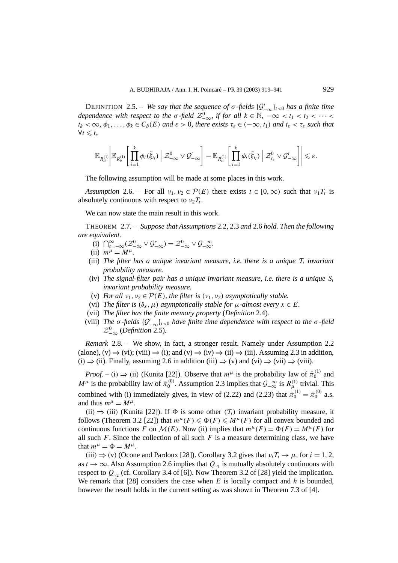DEFINITION 2.5. – *We say that the sequence of*  $\sigma$ -fields  $\{\mathcal{G}_{-\infty}^t\}_{t<0}$  *has a finite time dependence with respect to the*  $\sigma$ -field  $\mathcal{Z}_{-\infty}^0$ , if for all  $k \in \mathbb{N}$ ,  $-\infty < t_1 < t_2 < \cdots <$  $t_k < \infty$ ,  $\phi_1, \ldots, \phi_k \in C_b(E)$  *and*  $\varepsilon > 0$ *, there exists*  $\tau_{\varepsilon} \in (-\infty, t_1)$  *and*  $t_{\varepsilon} < \tau_{\varepsilon}$  *such that*  $\forall t \leqslant t_{\varepsilon}$ 

$$
\mathbb{E}_{R^{(1)}_\mu}\Bigg|\mathbb{E}_{R^{(1)}_\mu}\Bigg[\prod_{i=1}^k \phi_i(\tilde{\xi}_{t_i})\,\Big|\,\mathcal{Z}_{-\infty}^0\vee\mathcal{G}_{-\infty}^t\Bigg]-\mathbb{E}_{R^{(1)}_\mu}\Bigg[\prod_{i=1}^k \phi_i(\tilde{\xi}_{t_i})\,\Big|\,\mathcal{Z}_{\tau_{\varepsilon}}^0\vee\mathcal{G}_{-\infty}^t\Bigg]\Bigg|\leq \varepsilon.
$$

The following assumption will be made at some places in this work.

*Assumption* 2.6. – For all  $v_1, v_2 \in \mathcal{P}(E)$  there exists  $t \in [0, \infty)$  such that  $v_1T_t$  is absolutely continuous with respect to  $v_2T_t$ .

We can now state the main result in this work.

THEOREM 2.7. – *Suppose that Assumptions* 2.2, 2.3 *and* 2.6 *hold. Then the following are equivalent.*

- (i)  $\bigcap_{s=-\infty}^{\infty} (\mathcal{Z}_{-\infty}^{0} \vee \mathcal{G}_{-\infty}^{s}) = \mathcal{Z}_{-\infty}^{0} \vee \mathcal{G}_{-\infty}^{-\infty}$ .
- (ii)  $m^{\mu} = M^{\mu}$ .
- (iii) The filter has a unique invariant measure, i.e. there is a unique  $T_t$  *invariant probability measure.*
- (iv) The signal-filter pair has a unique invariant measure, *i.e.* there is a unique  $S_t$ *invariant probability measure.*
- (v) *For all*  $v_1, v_2 \in \mathcal{P}(E)$ *, the filter is*  $(v_1, v_2)$  *asymptotically stable.*
- (vi) *The filter is*  $(\delta_x, \mu)$  *asymptotically stable for*  $\mu$ -*almost every*  $x \in E$ *.*
- (vii) *The filter has the finite memory property* (*Definition* 2.4)*.*
- (viii) *The*  $\sigma$ -fields  $\{\mathcal{G}_{-\infty}^t\}_t$  *co have finite time dependence with respect to the*  $\sigma$ -field  $\mathcal{Z}^0_{-\infty}$  (*Definition* 2.5).

*Remark* 2.8. – We show, in fact, a stronger result. Namely under Assumption 2.2 (alone), (v)  $\Rightarrow$  (vi); (viii)  $\Rightarrow$  (i); and (v)  $\Rightarrow$  (iv)  $\Rightarrow$  (ii)  $\Rightarrow$  (iii). Assuming 2.3 in addition, (i)  $\Rightarrow$  (ii). Finally, assuming 2.6 in addition (iii)  $\Rightarrow$  (v) and (vi)  $\Rightarrow$  (vii)  $\Rightarrow$  (viii).

*Proof.* – (i)  $\Rightarrow$  (ii) (Kunita [22]). Observe that  $m^{\mu}$  is the probability law of  $\bar{\pi}_0^{(1)}$  and *M*<sup>*µ*</sup> is the probability law of  $\bar{\pi}_0^{(0)}$ . Assumption 2.3 implies that  $\mathcal{G}^{-\infty}_{-\infty}$  is  $R_{\mu}^{(1)}$  trivial. This combined with (i) immediately gives, in view of (2.22) and (2.23) that  $\bar{\pi}_0^{(1)} = \bar{\pi}_0^{(0)}$  a.s. and thus  $m^{\mu} = M^{\mu}$ .

 $(iii) \Rightarrow (iii)$  (Kunita [22]). If  $\Phi$  is some other  $(\mathcal{T}_t)$  invariant probability measure, it follows (Theorem 3.2 [22]) that  $m^{\mu}(F) \le \Phi(F) \le M^{\mu}(F)$  for all convex bounded and continuous functions *F* on  $\mathcal{M}(E)$ . Now (ii) implies that  $m^{\mu}(F) = \Phi(F) = M^{\mu}(F)$  for all such  $F$ . Since the collection of all such  $F$  is a measure determining class, we have that  $m^{\mu} = \Phi = M^{\mu}$ .

 $(iii) \Rightarrow$  *(v)* (Ocone and Pardoux [28]). Corollary 3.2 gives that  $\nu_i T_t \rightarrow \mu$ , for  $i = 1, 2$ , as  $t \to \infty$ . Also Assumption 2.6 implies that  $Q_{\nu_1}$  is mutually absolutely continuous with respect to  $Q_{\nu_2}$  (cf. Corollary 3.4 of [6]). Now Theorem 3.2 of [28] yield the implication. We remark that [28] considers the case when *E* is locally compact and *h* is bounded, however the result holds in the current setting as was shown in Theorem 7.3 of [4].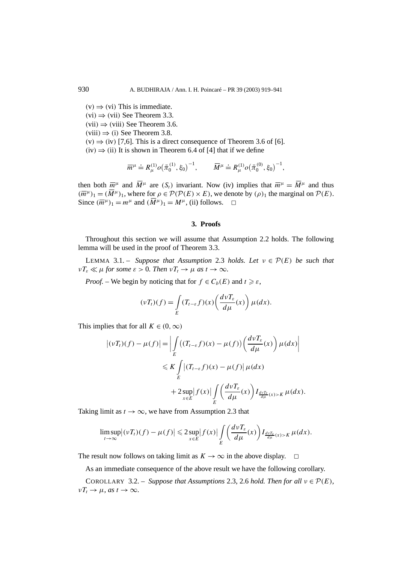$(v) \Rightarrow (vi)$  This is immediate.  $(vi) \Rightarrow (vii)$  See Theorem 3.3.  $(vii) \Rightarrow (viii)$  See Theorem 3.6.  $(viii) \Rightarrow (i)$  See Theorem 3.8.  $(v) \Rightarrow (iv)$  [7,6]. This is a direct consequence of Theorem 3.6 of [6].  $(iv) \Rightarrow (ii)$  It is shown in Theorem 6.4 of [4] that if we define

$$
\overline{m}^{\mu} \doteq R_{\mu}^{(1)} \omega (\overline{\pi}_{0}^{(1)}, \xi_{0})^{-1}, \qquad \overline{M}^{\mu} \doteq R_{\mu}^{(1)} \omega (\overline{\pi}_{0}^{(0)}, \xi_{0})^{-1},
$$

then both  $\overline{m}^{\mu}$  and  $\overline{M}^{\mu}$  are  $(S_t)$  invariant. Now (iv) implies that  $\overline{m}^{\mu} = \overline{M}^{\mu}$  and thus  $(\overline{m}^{\mu})_1 = (\overline{M}^{\mu})_1$ , where for  $\rho \in \mathcal{P}(\mathcal{P}(E) \times E)$ , we denote by  $(\rho)_1$  the marginal on  $\mathcal{P}(E)$ . Since  $(\overline{m}^{\mu})_1 = m^{\mu}$  and  $(\overline{M}^{\mu})_1 = M^{\mu}$ , (ii) follows.  $\Box$ 

# **3. Proofs**

Throughout this section we will assume that Assumption 2.2 holds. The following lemma will be used in the proof of Theorem 3.3.

LEMMA 3.1. – *Suppose that Assumption* 2.3 *holds. Let*  $v \in \mathcal{P}(E)$  *be such that*  $\nu T_{\varepsilon} \ll \mu$  *for some*  $\varepsilon > 0$ *. Then*  $\nu T_{t} \rightarrow \mu$  *as*  $t \rightarrow \infty$ *.* 

*Proof.* – We begin by noticing that for  $f \in C_b(E)$  and  $t \geq \varepsilon$ ,

$$
(\nu T_t)(f) = \int\limits_E (T_{t-\varepsilon}f)(x) \left(\frac{d\nu T_{\varepsilon}}{d\mu}(x)\right) \mu(dx).
$$

This implies that for all  $K \in (0, \infty)$ 

$$
\begin{aligned} \left| (\nu T_t)(f) - \mu(f) \right| &= \left| \int\limits_E \left( (T_{t-\varepsilon}f)(x) - \mu(f) \right) \left( \frac{d\nu T_\varepsilon}{d\mu}(x) \right) \mu(dx) \right| \\ &\leqslant K \int\limits_E \left| (T_{t-\varepsilon}f)(x) - \mu(f) \right| \mu(dx) \\ &+ 2 \sup\limits_{x \in E} \left| f(x) \right| \int\limits_E \left( \frac{d\nu T_\varepsilon}{d\mu}(x) \right) I_{\frac{d\nu T_\varepsilon}{d\mu}(x) > K} \mu(dx). \end{aligned}
$$

Taking limit as  $t \to \infty$ , we have from Assumption 2.3 that

$$
\limsup_{t\to\infty} |(\nu T_t)(f) - \mu(f)| \leq 2 \sup_{x\in E} |f(x)| \int\limits_{E} \left( \frac{d\nu T_{\varepsilon}}{d\mu}(x) \right) I_{\frac{d\nu T_{\varepsilon}}{d\mu}(x)>K} \mu(dx).
$$

The result now follows on taking limit as  $K \to \infty$  in the above display.  $\square$ 

As an immediate consequence of the above result we have the following corollary.

COROLLARY 3.2. – *Suppose that Assumptions* 2.3, 2.6 *hold. Then for all*  $v \in \mathcal{P}(E)$ *,*  $\nu T_t \to \mu$ *, as*  $t \to \infty$ *.*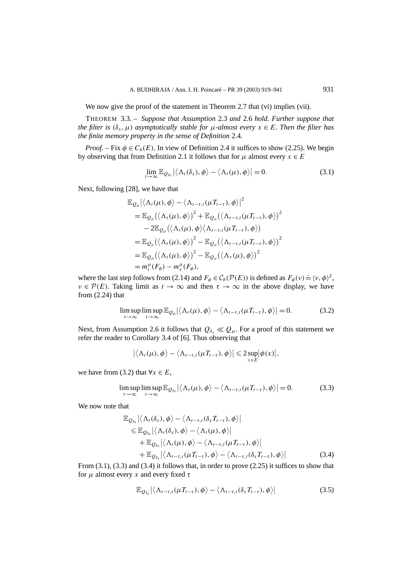We now give the proof of the statement in Theorem 2.7 that (vi) implies (vii).

THEOREM 3.3. – *Suppose that Assumption* 2.3 *and* 2.6 *hold. Further suppose that the filter is*  $(\delta_x, \mu)$  *asymptotically stable for*  $\mu$ *-almost every*  $x \in E$ *. Then the filter has the finite memory property in the sense of Definition* 2.4*.*

*Proof.* – Fix  $\phi \in C_b(E)$ . In view of Definition 2.4 it suffices to show (2.25). We begin by observing that from Definition 2.1 it follows that for  $\mu$  almost every  $x \in E$ 

$$
\lim_{t\to\infty}\mathbb{E}_{Q_{\delta_x}}\left|\left\langle\Lambda_t(\delta_x),\phi\right\rangle-\left\langle\Lambda_t(\mu),\phi\right\rangle\right|=0.
$$
\n(3.1)

Next, following [28], we have that

$$
\mathbb{E}_{Q_{\mu}} \left| \left\langle \Lambda_{t}(\mu), \phi \right\rangle - \left\langle \Lambda_{t-\tau,t}(\mu_{t-\tau}), \phi \right\rangle \right|^{2}
$$
\n
$$
= \mathbb{E}_{Q_{\mu}} \left( \left\langle \Lambda_{t}(\mu), \phi \right\rangle \right)^{2} + \mathbb{E}_{Q_{\mu}} \left( \left\langle \Lambda_{t-\tau,t}(\mu_{t-\tau}), \phi \right\rangle \right)^{2}
$$
\n
$$
-2 \mathbb{E}_{Q_{\mu}} \left( \left\langle \Lambda_{t}(\mu), \phi \right\rangle \left\langle \Lambda_{t-\tau,t}(\mu_{t-\tau}), \phi \right\rangle \right)
$$
\n
$$
= \mathbb{E}_{Q_{\mu}} \left( \left\langle \Lambda_{t}(\mu), \phi \right\rangle \right)^{2} - \mathbb{E}_{Q_{\mu}} \left( \left\langle \Lambda_{t-\tau,t}(\mu_{t-\tau}), \phi \right\rangle \right)^{2}
$$
\n
$$
= \mathbb{E}_{Q_{\mu}} \left( \left\langle \Lambda_{t}(\mu), \phi \right\rangle \right)^{2} - \mathbb{E}_{Q_{\mu}} \left( \left\langle \Lambda_{t}(\mu), \phi \right\rangle \right)^{2}
$$
\n
$$
= m_{t}^{\mu} (F_{\phi}) - m_{t}^{\mu} (F_{\phi}),
$$

where the last step follows from (2.14) and  $F_{\phi} \in C_b(\mathcal{P}(E))$  is defined as  $F_{\phi}(v) \doteq \langle v, \phi \rangle^2$ ,  $\nu \in \mathcal{P}(E)$ . Taking limit as  $t \to \infty$  and then  $\tau \to \infty$  in the above display, we have from (2.24) that

$$
\limsup_{\tau \to \infty} \limsup_{t \to \infty} \mathbb{E}_{Q_{\mu}} \big| \big\langle \Lambda_t(\mu), \phi \big\rangle - \big\langle \Lambda_{t-\tau,t}(\mu T_{t-\tau}), \phi \big\rangle \big| = 0. \tag{3.2}
$$

Next, from Assumption 2.6 it follows that  $Q_{\delta_x} \ll Q_\mu$ . For a proof of this statement we refer the reader to Corollary 3.4 of [6]. Thus observing that

$$
\left|\left\langle\Lambda_t(\mu),\phi\right\rangle-\left\langle\Lambda_{t-\tau,t}(\mu T_{t-\tau}),\phi\right\rangle\right|\leq 2\sup_{x\in E}|\phi(x)|,
$$

we have from (3.2) that  $\forall x \in E$ ,

$$
\limsup_{\tau \to \infty} \limsup_{t \to \infty} \mathbb{E}_{Q_{\delta_x}} \left| \left\langle \Lambda_t(\mu), \phi \right\rangle - \left\langle \Lambda_{t-\tau,t}(\mu T_{t-\tau}), \phi \right\rangle \right| = 0. \tag{3.3}
$$

We now note that

$$
\mathbb{E}_{Q_{\delta_x}}\left|\langle\Lambda_t(\delta_x),\phi\rangle-\langle\Lambda_{t-\tau,t}(\delta_x T_{t-\tau}),\phi\rangle\right|\n\leq \mathbb{E}_{Q_{\delta_x}}\left|\langle\Lambda_t(\delta_x),\phi\rangle-\langle\Lambda_t(\mu),\phi\rangle\right|\n+ \mathbb{E}_{Q_{\delta_x}}\left|\langle\Lambda_t(\mu),\phi\rangle-\langle\Lambda_{t-\tau,t}(\mu T_{t-\tau}),\phi\rangle\right|\n+ \mathbb{E}_{Q_{\delta_x}}\left|\langle\Lambda_{t-\tau,t}(\mu T_{t-\tau}),\phi\rangle-\langle\Lambda_{t-\tau,t}(\delta_x T_{t-\tau}),\phi\rangle\right|\n\tag{3.4}
$$

From  $(3.1)$ ,  $(3.3)$  and  $(3.4)$  it follows that, in order to prove  $(2.25)$  it suffices to show that for *µ* almost every *x* and every fixed *τ*

$$
\mathbb{E}_{Q_{\delta_x}}\big|\big\langle\Lambda_{t-\tau,t}(\mu T_{t-\tau}),\phi\big\rangle-\big\langle\Lambda_{t-\tau,t}(\delta_x T_{t-\tau}),\phi\big\rangle\big| \hspace{1.5cm} (3.5)
$$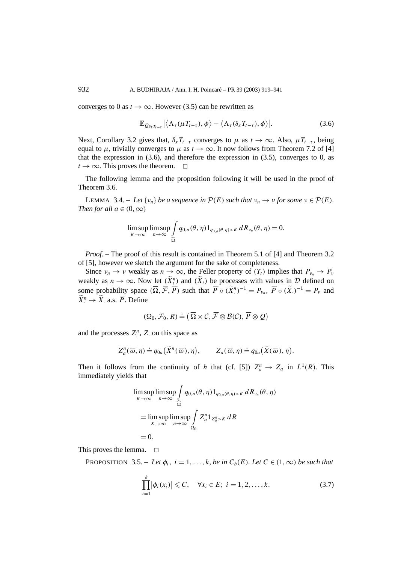converges to 0 as  $t \to \infty$ . However (3.5) can be rewritten as

$$
\mathbb{E}_{Q_{\delta_x T_{t-\tau}}} |\langle \Lambda_{\tau}(\mu T_{t-\tau}), \phi \rangle - \langle \Lambda_{\tau}(\delta_x T_{t-\tau}), \phi \rangle|.
$$
 (3.6)

Next, Corollary 3.2 gives that,  $\delta_x T_{t-\tau}$  converges to  $\mu$  as  $t \to \infty$ . Also,  $\mu T_{t-\tau}$ , being equal to  $\mu$ , trivially converges to  $\mu$  as  $t \to \infty$ . It now follows from Theorem 7.2 of [4] that the expression in  $(3.6)$ , and therefore the expression in  $(3.5)$ , converges to 0, as  $t \to \infty$ . This proves the theorem.  $\Box$ 

The following lemma and the proposition following it will be used in the proof of Theorem 3.6.

**LEMMA** 3.4. – *Let*  $\{v_n\}$  *be a sequence in*  $\mathcal{P}(E)$  *such that*  $v_n \to v$  *for some*  $v \in \mathcal{P}(E)$ *. Then for all*  $a \in (0, \infty)$ 

$$
\limsup_{K\to\infty}\limsup_{n\to\infty}\int_{\widehat{\Omega}}q_{0,a}(\theta,\eta)1_{q_{0,a}(\theta,\eta)>K}dR_{\nu_n}(\theta,\eta)=0.
$$

*Proof.* – The proof of this result is contained in Theorem 5.1 of [4] and Theorem 3.2 of [5], however we sketch the argument for the sake of completeness.

Since  $v_n \to v$  weakly as  $n \to \infty$ , the Feller property of  $(T_t)$  implies that  $P_{v_n} \to P_v$ weakly as  $n \to \infty$ . Now <u>let  $(\widetilde{X}_t^n)$ </u> and  $(\widetilde{X}_t)$  be processes with values in  $D$  defined on some probability space  $(\overline{\Omega}, \overline{\mathcal{F}}, \overline{P})$  such that  $\overline{P} \circ (\widetilde{X}_n^n)^{-1} = P_{\nu_n}, \overline{P} \circ (\widetilde{X}_n)^{-1} = P_{\nu}$  and  $\widetilde{X}^n \to \widetilde{X}$  a.s.  $\overline{P}$ . Define

$$
(\Omega_0, \mathcal{F}_0, R) \doteq (\overline{\Omega} \times \mathcal{C}, \overline{\mathcal{F}} \otimes \mathcal{B}(\mathcal{C}), \overline{P} \otimes \mathcal{Q})
$$

and the processes  $Z^n_i$ ,  $Z$  on this space as

$$
Z_a^n(\overline{\omega}, \eta) \doteq q_{0a}(\widetilde{X}^n(\overline{\omega}), \eta), \qquad Z_a(\overline{\omega}, \eta) \doteq q_{0a}(\widetilde{X}(\overline{\omega}), \eta).
$$

Then it follows from the continuity of *h* that (cf. [5])  $Z_a^n \to Z_a$  in  $L^1(R)$ . This immediately yields that

$$
\limsup_{K \to \infty} \limsup_{n \to \infty} \int_{\widehat{\Omega}} q_{0,a}(\theta, \eta) 1_{q_{0,a}(\theta, \eta) > K} dR_{\nu_n}(\theta, \eta)
$$
  
= 
$$
\limsup_{K \to \infty} \limsup_{n \to \infty} \int_{\Omega_0} Z_a^n 1_{Z_a^n > K} dR
$$
  
= 0.

This proves the lemma.  $\square$ 

PROPOSITION 3.5. – Let  $\phi_i$ ,  $i = 1, ..., k$ , be in  $C_b(E)$ *. Let*  $C \in (1, \infty)$  be such that

$$
\prod_{i=1}^{k} |\phi_i(x_i)| \leq C, \quad \forall x_i \in E; \ i = 1, 2, ..., k.
$$
 (3.7)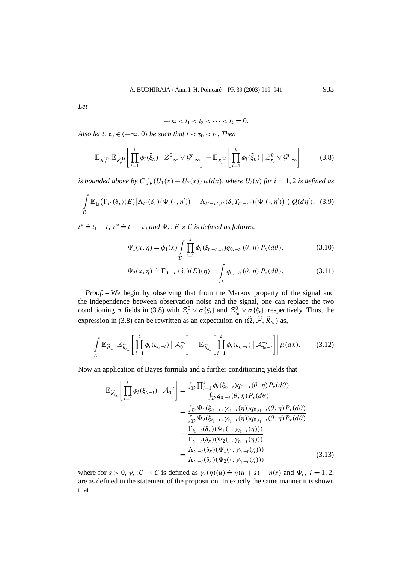*Let*

$$
-\infty < t_1 < t_2 < \cdots < t_k = 0.
$$

*Also let*  $t, \tau_0 \in (-\infty, 0)$  *be such that*  $t < \tau_0 < t_1$ *. Then* 

$$
\mathbb{E}_{R_{\mu}^{(1)}}\bigg|\mathbb{E}_{R_{\mu}^{(1)}}\bigg[\prod_{i=1}^{k}\phi_{i}(\tilde{\xi}_{t_{i}})\mid\mathcal{Z}_{-\infty}^{0}\vee\mathcal{G}_{-\infty}^{t}\bigg]-\mathbb{E}_{R_{\mu}^{(1)}}\bigg[\prod_{i=1}^{k}\phi_{i}(\tilde{\xi}_{t_{i}})\mid\mathcal{Z}_{\tau_{0}}^{0}\vee\mathcal{G}_{-\infty}^{t}\bigg]\bigg|\qquad(3.8)
$$

*is bounded above by*  $C \int_E (U_1(x) + U_2(x)) \mu(dx)$ *, where*  $U_i(x)$  *for*  $i = 1, 2$  *is defined as* 

$$
\int_{C} \mathbb{E}_{Q}\big(\Gamma_{t^*}(\delta_x)(E)\big|\Lambda_{t^*}(\delta_x)\big(\Psi_i(\cdot,\eta')\big)-\Lambda_{t^*-t^*,t^*}(\delta_xT_{t^*-t^*})\big(\Psi_i(\cdot,\eta')\big)\big|\big)\,Q(d\eta'),\tag{3.9}
$$

 $t^* \doteq t_1 - t$ ,  $\tau^* \doteq t_1 - \tau_0$  *and*  $\Psi_i : E \times C$  *is defined as follows*:

$$
\Psi_1(x,\eta) = \phi_1(x) \int\limits_{D} \prod_{i=2}^k \phi_i(\xi_{t_i - t_{i-1}}) q_{0,-t_1}(\theta,\eta) P_x(d\theta), \tag{3.10}
$$

$$
\Psi_2(x,\eta) \doteq \Gamma_{0,-t_1}(\delta_x)(E)(\eta) = \int_{\mathcal{D}} q_{0,-t_1}(\theta,\eta) P_x(d\theta).
$$
 (3.11)

*Proof. –* We begin by observing that from the Markov property of the signal and the independence between observation noise and the signal, one can replace the two conditioning  $\sigma$  fields in (3.8) with  $\mathcal{Z}_t^0 \vee \sigma {\xi_t}$  and  $\mathcal{Z}_{\tau_0}^0 \vee \sigma {\xi_t}$ , respectively. Thus, the expression in (3.8) can be rewritten as an expectation on  $(\widehat{\Omega}, \widehat{\mathcal{F}}, \widehat{R}_{\delta_x})$  as,

$$
\int\limits_{E} \mathbb{E}_{\widehat{R}_{\delta_x}}\left\lvert \mathbb{E}_{\widehat{R}_{\delta_x}}\left[\prod_{i=1}^k \phi_i(\xi_{t_i-t}) \bigm\vert \mathcal{A}_0^{-t}\right] - \mathbb{E}_{\widehat{R}_{\delta_x}}\left[\prod_{i=1}^k \phi_i(\xi_{t_i-t}) \bigm\vert \mathcal{A}_{\tau_0-t}^{-t}\right]\right\rvert \mu(dx). \tag{3.12}
$$

Now an application of Bayes formula and a further conditioning yields that

$$
\mathbb{E}_{\widehat{R}_{\delta_x}}\left[\prod_{i=1}^k \phi_i(\xi_{t_i-t}) \mid \mathcal{A}_0^{-t}\right] = \frac{\int_{\mathcal{D}} \prod_{i=1}^k \phi_i(\xi_{t_i-t}) q_{0,-t}(\theta, \eta) P_x(d\theta)}{\int_{\mathcal{D}} q_{0,-t}(\theta, \eta) P_x(d\theta)} \n= \frac{\int_{\mathcal{D}} \Psi_1(\xi_{t_1-t}, \gamma_{t_1-t}(\eta)) q_{0,t_1-t}(\theta, \eta) P_x(d\theta)}{\int_{\mathcal{D}} \Psi_2(\xi_{t_1-t}, \gamma_{t_1-t}(\eta)) q_{0,t_1-t}(\theta, \eta) P_x(d\theta)} \n= \frac{\Gamma_{t_1-t}(\delta_x) (\Psi_1(\cdot, \gamma_{t_1-t}(\eta)))}{\Gamma_{t_1-t}(\delta_x) (\Psi_2(\cdot, \gamma_{t_1-t}(\eta)))} \n= \frac{\Lambda_{t_1-t}(\delta_x) (\Psi_1(\cdot, \gamma_{t_1-t}(\eta)))}{\Lambda_{t_1-t}(\delta_x) (\Psi_2(\cdot, \gamma_{t_1-t}(\eta)))}
$$
\n(3.13)

where for  $s > 0$ ,  $\gamma_s : C \to C$  is defined as  $\gamma_s(\eta)(u) \doteq \eta(u+s) - \eta(s)$  and  $\Psi_i$ ,  $i = 1, 2$ , are as defined in the statement of the proposition. In exactly the same manner it is shown that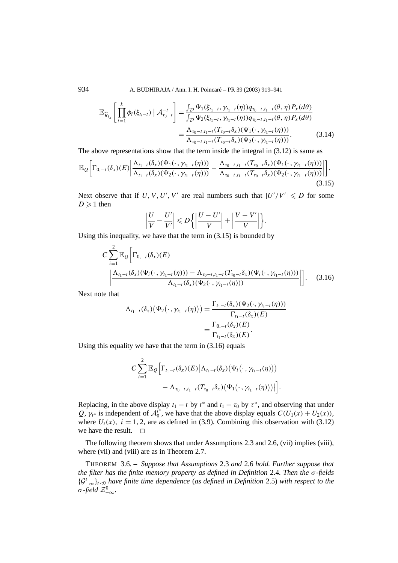934 A. BUDHIRAJA / Ann. I. H. Poincaré – PR 39 (2003) 919–941

$$
\mathbb{E}_{\widehat{R}_{\delta_x}}\left[\prod_{i=1}^k \phi_i(\xi_{t_i-t}) \mid \mathcal{A}_{\tau_0-t}^{-t}\right] = \frac{\int_{\mathcal{D}} \Psi_1(\xi_{t_1-t}, \gamma_{t_1-t}(\eta)) q_{\tau_0-t, t_1-t}(\theta, \eta) P_x(d\theta)}{\int_{\mathcal{D}} \Psi_2(\xi_{t_1-t}, \gamma_{t_1-t}(\eta)) q_{\tau_0-t, t_1-t}(\theta, \eta) P_x(d\theta)} = \frac{\Lambda_{\tau_0-t, t_1-t}(T_{\tau_0-t} \delta_x)(\Psi_1(\cdot, \gamma_{t_1-t}(\eta)))}{\Lambda_{\tau_0-t, t_1-t}(T_{\tau_0-t} \delta_x)(\Psi_2(\cdot, \gamma_{t_1-t}(\eta)))}. \tag{3.14}
$$

The above representations show that the term inside the integral in (3.12) is same as

$$
\mathbb{E}_{\mathcal{Q}}\bigg[\Gamma_{0,-t}(\delta_x)(E)\bigg|\frac{\Lambda_{t_1-t}(\delta_x)(\Psi_1(\cdot,\gamma_{t_1-t}(\eta)))}{\Lambda_{t_1-t}(\delta_x)(\Psi_2(\cdot,\gamma_{t_1-t}(\eta)))}-\frac{\Lambda_{\tau_0-t,t_1-t}(T_{\tau_0-t}\delta_x)(\Psi_1(\cdot,\gamma_{t_1-t}(\eta)))}{\Lambda_{\tau_0-t,t_1-t}(T_{\tau_0-t}\delta_x)(\Psi_2(\cdot,\gamma_{t_1-t}(\eta)))}\bigg|\bigg].\tag{3.15}
$$

Next observe that if U, V, U', V' are real numbers such that  $|U'/V'| \le D$  for some  $D \geqslant 1$  then

$$
\left|\frac{U}{V}-\frac{U'}{V'}\right|\leqslant D\bigg\{\bigg|\frac{U-U'}{V}\bigg|+\bigg|\frac{V-V'}{V}\bigg|\bigg\}.
$$

Using this inequality, we have that the term in (3.15) is bounded by

$$
C \sum_{i=1}^{2} \mathbb{E}_{Q} \Big[ \Gamma_{0,-t}(\delta_{x})(E) - \Lambda_{\tau_{0}-t,t_{1}-t}(T_{\tau_{0}-t}\delta_{x})(\Psi_{i}(\cdot,\gamma_{t_{1}-t}(\eta))) - \Lambda_{\tau_{0}-t,t_{1}-t}(T_{\tau_{0}-t}\delta_{x})(\Psi_{i}(\cdot,\gamma_{t_{1}-t}(\eta))) - \Lambda_{\tau_{1}-t}(\delta_{x})(\Psi_{2}(\cdot,\gamma_{t_{1}-t}(\eta))) - \Lambda_{\tau_{1}-t}(\delta_{x})(\Psi_{2}(\cdot,\gamma_{t_{1}-t}(\eta))) \Big] \Big].
$$
 (3.16)

Next note that

$$
\Lambda_{t_1-t}(\delta_x)\big(\Psi_2(\cdot,\gamma_{t_1-t}(\eta))\big) = \frac{\Gamma_{t_1-t}(\delta_x)(\Psi_2(\cdot,\gamma_{t_1-t}(\eta)))}{\Gamma_{t_1-t}(\delta_x)(E)}
$$
  
= 
$$
\frac{\Gamma_{0,-t}(\delta_x)(E)}{\Gamma_{t_1-t}(\delta_x)(E)}.
$$

Using this equality we have that the term in (3.16) equals

$$
C\sum_{i=1}^{2}\mathbb{E}_{Q}\Big[\Gamma_{t_1-t}(\delta_x)(E)|\Lambda_{t_1-t}(\delta_x)(\Psi_i(\cdot,\gamma_{t_1-t}(\eta)))-\Lambda_{\tau_0-t,t_1-t}(T_{\tau_0-t}\delta_x)(\Psi_1(\cdot,\gamma_{t_1-t}(\eta)))|\Big].
$$

Replacing, in the above display  $t_1 - t$  by  $t^*$  and  $t_1 - \tau_0$  by  $\tau^*$ , and observing that under  $Q, \gamma_{t^*}$  is independent of  $\mathcal{A}_0^{t^*}$ , we have that the above display equals  $C(U_1(x) + U_2(x))$ , where  $U_i(x)$ ,  $i = 1, 2$ , are as defined in (3.9). Combining this observation with (3.12) we have the result.  $\Box$ 

The following theorem shows that under Assumptions 2.3 and 2.6, (vii) implies (viii), where (vii) and (viii) are as in Theorem 2.7.

THEOREM 3.6. – *Suppose that Assumptions* 2.3 *and* 2.6 *hold. Further suppose that the filter has the finite memory property as defined in Definition* 2.4*. Then the σ -fields* {G*t* −∞}*t<*<sup>0</sup> *have finite time dependence* (*as defined in Definition* 2.5) *with respect to the*  $\sigma$ *-field*  $\mathcal{Z}^0_{-\infty}$ .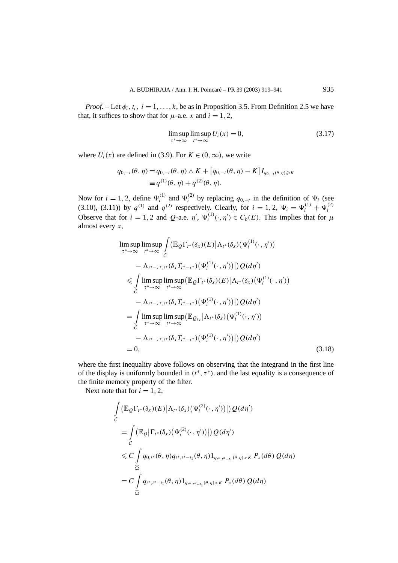*Proof.* – Let  $\phi_i$ ,  $t_i$ ,  $i = 1, \ldots, k$ , be as in Proposition 3.5. From Definition 2.5 we have that, it suffices to show that for  $\mu$ -a.e. *x* and  $i = 1, 2$ ,

$$
\limsup_{x^* \to \infty} \limsup_{t^* \to \infty} U_i(x) = 0,
$$
\n(3.17)

where  $U_i(x)$  are defined in (3.9). For  $K \in (0, \infty)$ , we write

$$
q_{0,-t}(\theta,\eta) = q_{0,-t}(\theta,\eta) \wedge K + [q_{0,-t}(\theta,\eta) - K] I_{q_{0,-t}(\theta,\eta) \geq K}
$$
  

$$
\equiv q^{(1)}(\theta,\eta) + q^{(2)}(\theta,\eta).
$$

Now for  $i = 1, 2$ , define  $\Psi_i^{(1)}$  and  $\Psi_i^{(2)}$  by replacing  $q_{0,-t}$  in the definition of  $\Psi_i$  (see (3.10), (3.11)) by  $q^{(1)}$  and  $q^{(2)}$  respectively. Clearly, for  $i = 1, 2, \Psi_i = \Psi_i^{(1)} + \Psi_i^{(2)}$ Observe that for  $i = 1, 2$  and *Q*-a.e.  $\eta'$ ,  $\Psi_i^{(1)}(\cdot, \eta') \in C_b(E)$ . This implies that for  $\mu$ almost every *x*,

$$
\limsup_{\tau^* \to \infty} \limsup_{t^* \to \infty} \int_{C} (\mathbb{E}_{Q} \Gamma_{t^*}(\delta_x)(E) | \Lambda_{t^*}(\delta_x)(\Psi_i^{(1)}(\cdot, \eta')) \n- \Lambda_{t^* - \tau^*, t^*}(\delta_x T_{t^* - \tau^*})(\Psi_i^{(1)}(\cdot, \eta')) | Q(d\eta') \n\leq \int_{C} \limsup_{\tau^* \to \infty} \limsup_{t^* \to \infty} (\mathbb{E}_{Q} \Gamma_{t^*}(\delta_x)(E) | \Lambda_{t^*}(\delta_x)(\Psi_i^{(1)}(\cdot, \eta')) \n- \Lambda_{t^* - \tau^*, t^*}(\delta_x T_{t^* - \tau^*})(\Psi_i^{(1)}(\cdot, \eta')) | Q(d\eta') \n= \int_{C} \limsup_{\tau^* \to \infty} \limsup_{t^* \to \infty} (\mathbb{E}_{Q_{\delta_x}} | \Lambda_{t^*}(\delta_x)(\Psi_i^{(1)}(\cdot, \eta')) \n- \Lambda_{t^* - \tau^*, t^*}(\delta_x T_{t^* - \tau^*})(\Psi_i^{(1)}(\cdot, \eta')) | Q(d\eta') \n= 0,
$$
\n(3.18)

where the first inequality above follows on observing that the integrand in the first line of the display is uniformly bounded in  $(t^*, \tau^*)$ . and the last equality is a consequence of the finite memory property of the filter.

Next note that for  $i = 1, 2$ ,

$$
\int_{C} \left( \mathbb{E}_{Q} \Gamma_{t^{*}}(\delta_{x})(E) \middle| \Lambda_{t^{*}}(\delta_{x})(\Psi_{i}^{(2)}(\cdot,\eta')) \right) \right) Q(d\eta')
$$
\n
$$
= \int_{C} \left( \mathbb{E}_{Q} \middle| \Gamma_{t^{*}}(\delta_{x})(\Psi_{i}^{(2)}(\cdot,\eta')) \right) Q(d\eta')
$$
\n
$$
\leq C \int_{\widehat{\Omega}} q_{0,t^{*}}(\theta,\eta) q_{t^{*},t^{*}-t_{1}}(\theta,\eta) 1_{q_{t^{*},t^{*}-t_{1}}(\theta,\eta) > K} P_{x}(d\theta) Q(d\eta)
$$
\n
$$
= C \int_{\widehat{\Omega}} q_{t^{*},t^{*}-t_{1}}(\theta,\eta) 1_{q_{t^{*},t^{*}-t_{1}}(\theta,\eta) > K} P_{x}(d\theta) Q(d\eta)
$$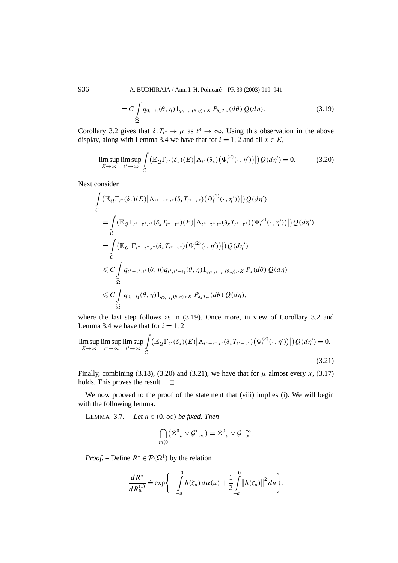936 A. BUDHIRAJA / Ann. I. H. Poincaré – PR 39 (2003) 919–941

$$
= C \int_{\widehat{\Omega}} q_{0,-t_1}(\theta,\eta) 1_{q_{0,-t_1}(\theta,\eta) > K} P_{\delta_x T_{t^*}}(d\theta) Q(d\eta).
$$
 (3.19)

Corollary 3.2 gives that  $\delta_x T_{t^*} \to \mu$  as  $t^* \to \infty$ . Using this observation in the above display, along with Lemma 3.4 we have that for  $i = 1, 2$  and all  $x \in E$ ,

$$
\limsup_{K \to \infty} \limsup_{t^* \to \infty} \int_{C} \left( \mathbb{E}_{Q} \Gamma_{t^*}(\delta_x)(E) \big| \Lambda_{t^*}(\delta_x) \big( \Psi_i^{(2)}(\cdot, \eta') \big) \big| \right) Q(d\eta') = 0. \tag{3.20}
$$

Next consider

$$
\int_{C} (\mathbb{E}_{Q} \Gamma_{t^{*}}(\delta_{x})(E)|\Lambda_{t^{*}-\tau^{*},t^{*}}(\delta_{x}T_{t^{*}-\tau^{*}})(\Psi_{i}^{(2)}(\cdot,\eta'))|)Q(d\eta')
$$
\n
$$
= \int_{C} (\mathbb{E}_{Q} \Gamma_{t^{*}-\tau^{*},t^{*}}(\delta_{x}T_{t^{*}-\tau^{*}})(E)|\Lambda_{t^{*}-\tau^{*},t^{*}}(\delta_{x}T_{t^{*}-\tau^{*}})(\Psi_{i}^{(2)}(\cdot,\eta'))|)Q(d\eta')
$$
\n
$$
= \int_{C} (\mathbb{E}_{Q} \Gamma_{t^{*}-\tau^{*},t^{*}}(\delta_{x}T_{t^{*}-\tau^{*}})(\Psi_{i}^{(2)}(\cdot,\eta'))|)Q(d\eta')
$$
\n
$$
\leq C \int_{\widehat{\Omega}} q_{t^{*}-\tau^{*},t^{*}}(\theta,\eta)q_{t^{*},t^{*}-t_{1}}(\theta,\eta)1_{q_{t^{*},t^{*}-t_{1}}(\theta,\eta)>K}P_{x}(d\theta)Q(d\eta)
$$
\n
$$
\leq C \int_{\widehat{\Omega}} q_{0,-t_{1}}(\theta,\eta)1_{q_{0,-t_{1}}(\theta,\eta)>K}P_{\delta_{x}T_{t^{*}}}(d\theta)Q(d\eta),
$$
\n
$$
\widehat{\Omega}
$$

where the last step follows as in (3.19). Once more, in view of Corollary 3.2 and Lemma 3.4 we have that for  $i = 1, 2$ 

$$
\limsup_{K \to \infty} \limsup_{\tau^* \to \infty} \limsup_{t^* \to \infty} \int_{C} \left( \mathbb{E}_{Q} \Gamma_{t^*}(\delta_x)(E) \big| \Lambda_{t^* - \tau^*, t^*}(\delta_x T_{t^* - \tau^*}) \big( \Psi_i^{(2)}(\cdot, \eta') \big) \big| \right) Q(d\eta') = 0.
$$
\n(3.21)

Finally, combining (3.18), (3.20) and (3.21), we have that for  $\mu$  almost every *x*, (3.17) holds. This proves the result.  $\Box$ 

We now proceed to the proof of the statement that (viii) implies (i). We will begin with the following lemma.

LEMMA 3.7. – Let  $a \in (0, \infty)$  be fixed. Then

$$
\bigcap_{t\leqslant 0} \bigl(\mathcal{Z}_{-a}^0\vee\mathcal{G}_{-\infty}^t\bigr)=\mathcal{Z}_{-a}^0\vee\mathcal{G}_{-\infty}^{-\infty}.
$$

*Proof.* – Define  $R^* \in \mathcal{P}(\Omega^1)$  by the relation

$$
\frac{dR^*}{dR_{\mu}^{(1)}} \doteq \exp \left\{-\int\limits_{-a}^0 h(\xi_u) \, d\alpha(u) + \frac{1}{2} \int\limits_{-a}^0 \bigl\|h(\xi_u)\bigr\|^2 \, du\right\}.
$$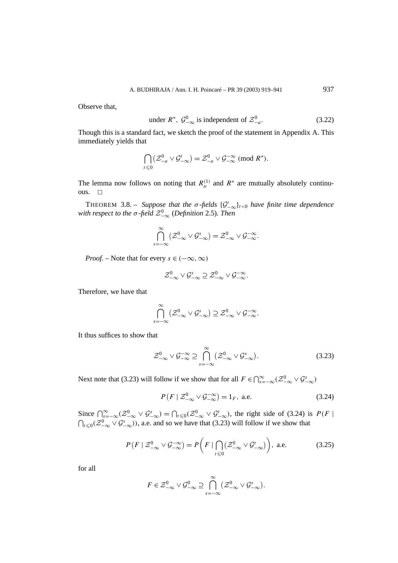Observe that,

under 
$$
R^*
$$
,  $\mathcal{G}_{-\infty}^0$  is independent of  $\mathcal{Z}_{-a}^0$ . (3.22)

Though this is a standard fact, we sketch the proof of the statement in Appendix A. This immediately yields that

$$
\bigcap_{t\leq 0} (\mathcal{Z}^0_{-a}\vee \mathcal{G}^t_{-\infty})=\mathcal{Z}^0_{-a}\vee \mathcal{G}^{-\infty}_{-\infty} \pmod{R^*}.
$$

The lemma now follows on noting that  $R_{\mu}^{(1)}$  and  $R^*$  are mutually absolutely continuous.  $\square$ 

THEOREM 3.8. – *Suppose that the*  $\sigma$ -fields  $\{\mathcal{G}_{-\infty}^t\}_{t<0}$  *have finite time dependence* with respect to the  $\sigma$  -field  $\mathcal{Z}_{-\infty}^{0}$  (Definition 2.5). Then

$$
\bigcap_{s=-\infty}^{\infty} \left(\mathcal{Z}_{-\infty}^{0} \vee \mathcal{G}_{-\infty}^{s}\right) = \mathcal{Z}_{-\infty}^{0} \vee \mathcal{G}_{-\infty}^{-\infty}.
$$

*Proof.* – Note that for every  $s \in (-\infty, \infty)$ 

$$
\mathcal{Z}_{-\infty}^0 \vee \mathcal{G}_{-\infty}^s \supseteq \mathcal{Z}_{-\infty}^0 \vee \mathcal{G}_{-\infty}^{-\infty}.
$$

Therefore, we have that

$$
\bigcap_{s=-\infty}^{\infty} \left( \mathcal{Z}_{-\infty}^{0} \vee \mathcal{G}_{-\infty}^{s} \right) \supseteq \mathcal{Z}_{-\infty}^{0} \vee \mathcal{G}_{-\infty}^{-\infty}.
$$

It thus suffices to show that

$$
\mathcal{Z}_{-\infty}^{0} \vee \mathcal{G}_{-\infty}^{-\infty} \supseteq \bigcap_{s=-\infty}^{\infty} (\mathcal{Z}_{-\infty}^{0} \vee \mathcal{G}_{-\infty}^{s}).
$$
\n(3.23)

Next note that (3.23) will follow if we show that for all  $F \in \bigcap_{s=-\infty}^{\infty} (\mathcal{Z}_{-\infty}^0 \vee \mathcal{G}_{-\infty}^s)$ 

$$
P(F \mid \mathcal{Z}_{-\infty}^{0} \vee \mathcal{G}_{-\infty}^{-\infty}) = 1_{F}, \text{ a.e.}
$$
 (3.24)

Since  $\bigcap_{s=-\infty}^{\infty}$   $(\mathcal{Z}_{-\infty}^{0} \vee \mathcal{G}_{-\infty}^{s}) = \bigcap_{t \leq 0} (\mathcal{Z}_{-\infty}^{0} \vee \mathcal{G}_{-\infty}^{t})$ , the right side of (3.24) is  $P(F \mid$  $\bigcap_{t \leq 0} (Z^0_{-\infty} \vee \mathcal{G}^s_{-\infty})$ ), a.e. and so we have that (3.23) will follow if we show that

$$
P(F \mid \mathcal{Z}_{-\infty}^{0} \vee \mathcal{G}_{-\infty}^{-\infty}) = P\left(F \mid \bigcap_{t \leq 0} (\mathcal{Z}_{-\infty}^{0} \vee \mathcal{G}_{-\infty}^{t})\right), \text{ a.e.}
$$
 (3.25)

for all

$$
F\in\mathcal{Z}_{-\infty}^{0}\vee\mathcal{G}_{-\infty}^{0}\supseteq\bigcap_{s=-\infty}^{\infty}(\mathcal{Z}_{-\infty}^{0}\vee\mathcal{G}_{-\infty}^{s}).
$$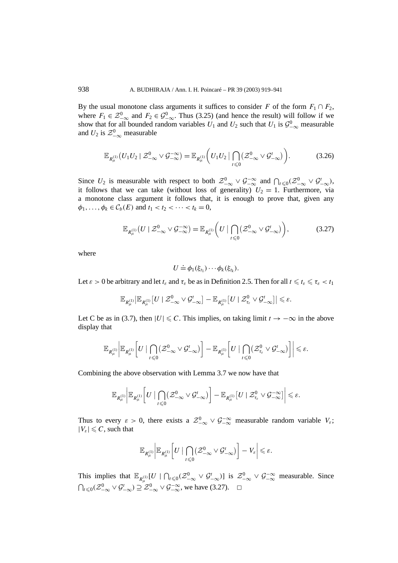By the usual monotone class arguments it suffices to consider *F* of the form  $F_1 \cap F_2$ , where  $F_1 \in \mathcal{Z}_{-\infty}^0$  and  $F_2 \in \mathcal{G}_{-\infty}^0$ . Thus (3.25) (and hence the result) will follow if we show that for all bounded random variables  $U_1$  and  $U_2$  such that  $U_1$  is  $\mathcal{G}^0_{-\infty}$  measurable and  $U_2$  is  $\mathcal{Z}_{-\infty}^0$  measurable

$$
\mathbb{E}_{R_{\mu}^{(1)}}(U_1U_2 \mid \mathcal{Z}_{-\infty}^0 \vee \mathcal{G}_{-\infty}^{-\infty}) = \mathbb{E}_{R_{\mu}^{(1)}}\bigg(U_1U_2 \mid \bigcap_{t \leq 0}(\mathcal{Z}_{-\infty}^0 \vee \mathcal{G}_{-\infty}^t)\bigg).
$$
 (3.26)

Since  $U_2$  is measurable with respect to both  $\mathcal{Z}_{-\infty}^0 \vee \mathcal{G}_{-\infty}^{-\infty}$  and  $\bigcap_{t \leq 0} (\mathcal{Z}_{-\infty}^0 \vee \mathcal{G}_{-\infty}^t)$ , it follows that we can take (without loss of generality)  $U_2 = 1$ . Furthermore, via a monotone class argument it follows that, it is enough to prove that, given any  $\phi_1, \ldots, \phi_k \in C_b(E)$  and  $t_1 < t_2 < \cdots < t_k = 0$ ,

$$
\mathbb{E}_{R_{\mu}^{(1)}}(U \mid \mathcal{Z}_{-\infty}^0 \vee \mathcal{G}_{-\infty}^{-\infty}) = \mathbb{E}_{R_{\mu}^{(1)}}\bigg(U \mid \bigcap_{t \leq 0} (\mathcal{Z}_{-\infty}^0 \vee \mathcal{G}_{-\infty}^t)\bigg),\tag{3.27}
$$

where

$$
U \doteq \phi_1(\xi_{t_1}) \cdots \phi_k(\xi_{t_k}).
$$

Let  $\varepsilon > 0$  be arbitrary and let  $t_{\varepsilon}$  and  $\tau_{\varepsilon}$  be as in Definition 2.5. Then for all  $t \leq t_{\varepsilon} \leq \tau_{\varepsilon} < t_1$ 

$$
\mathbb{E}_{R^{(1)}_\mu}\big|\mathbb{E}_{R^{(1)}_\mu}\big[U\mid \mathcal{Z}_{-\infty}^0\vee\mathcal{G}_{-\infty}^t\big]-\mathbb{E}_{R^{(1)}_\mu}\big[U\mid \mathcal{Z}_{\tau_\varepsilon}^0\vee\mathcal{G}_{-\infty}^t\big]\big|\leqslant\varepsilon.
$$

Let C be as in (3.7), then  $|U| \leq C$ . This implies, on taking limit  $t \to -\infty$  in the above display that

$$
\mathbb{E}_{R^{(1)}_\mu}\bigg|\mathbb{E}_{R^{(1)}_\mu}\bigg[U\mid\bigcap_{t\leqslant 0}(\mathcal{Z}_{-\infty}^0\vee\mathcal{G}_{-\infty}^t)\bigg]-\mathbb{E}_{R^{(1)}_\mu}\bigg[U\mid\bigcap_{t\leqslant 0}(\mathcal{Z}_{\tau_\varepsilon}^0\vee\mathcal{G}_{-\infty}^t)\bigg]\bigg|\leqslant \varepsilon.
$$

Combining the above observation with Lemma 3.7 we now have that

$$
\mathbb{E}_{R^{(1)}_\mu}\bigg|\mathbb{E}_{R^{(1)}_\mu}\bigg[U\mid\bigcap_{t\leqslant 0}(\mathcal{Z}^0_{-\infty}\vee\mathcal{G}^t_{-\infty})\bigg]-\mathbb{E}_{R^{(1)}_\mu}\big[U\mid\mathcal{Z}^0_{\tau_\varepsilon}\vee\mathcal{G}^{-\infty}_{-\infty}\big]\bigg|\leqslant \varepsilon.
$$

Thus to every  $\varepsilon > 0$ , there exists a  $\mathcal{Z}_{-\infty}^0 \vee \mathcal{G}_{-\infty}^{-\infty}$  measurable random variable  $V_{\varepsilon}$ ;  $|V_{\varepsilon}| \leqslant C$ , such that

$$
\mathbb{E}_{R^{(1)}_\mu}\bigg|\mathbb{E}_{R^{(1)}_\mu}\bigg[U\mid\bigcap_{t\leqslant 0}\big(\mathcal{Z}_{-\infty}^0\vee\mathcal{G}_{-\infty}^t\big)\bigg]-V_\varepsilon\bigg|\leqslant\varepsilon.
$$

This implies that  $\mathbb{E}_{R_{\mu}^{(1)}}[U \mid \bigcap_{t \leq 0} (\mathcal{Z}_{-\infty}^0 \vee \mathcal{G}_{-\infty}^t)]$  is  $\mathcal{Z}_{-\infty}^0 \vee \mathcal{G}_{-\infty}^{-\infty}$  measurable. Since  $\bigcap_{t \leq 0} (\mathcal{Z}_{-\infty}^0 \vee \mathcal{G}_{-\infty}^t) \supseteq \mathcal{Z}_{-\infty}^0 \vee \mathcal{G}_{-\infty}^{-\infty}$ , we have (3.27).  $\Box$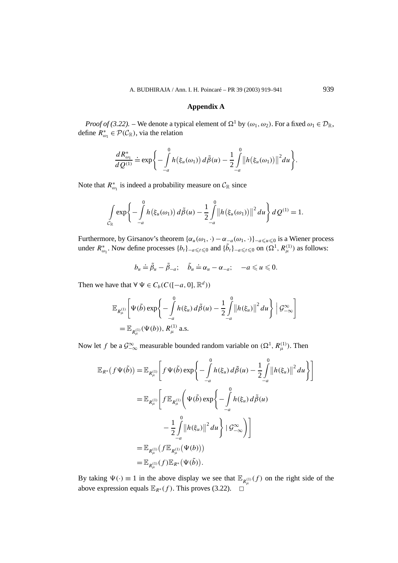# **Appendix A**

*Proof of (3.22).* – We denote a typical element of  $\Omega^1$  by  $(\omega_1, \omega_2)$ . For a fixed  $\omega_1 \in \mathcal{D}_{\mathbb{R}}$ , define  $R^*_{\omega_1} \in \mathcal{P}(\mathcal{C}_{\mathbb{R}})$ , via the relation

$$
\frac{dR_{\omega_1}^*}{dQ^{(1)}} \doteq \exp\bigg\{-\int\limits_{-a}^0 h(\xi_u(\omega_1))\,d\tilde{\beta}(u) - \frac{1}{2}\int\limits_{-a}^0 \big\|h(\xi_u(\omega_1))\big\|^2 du\bigg\}.
$$

Note that  $R^*_{\omega_1}$  is indeed a probability measure on  $\mathcal{C}_{\mathbb{R}}$  since

$$
\int_{C_{\mathbb{R}}} \exp \left\{-\int_{-a}^{0} h(\xi_u(\omega_1)) d\tilde{\beta}(u) - \frac{1}{2} \int_{-a}^{0} ||h(\xi_u(\omega_1))||^2 du \right\} dQ^{(1)} = 1.
$$

Furthermore, by Girsanov's theorem  $\{\alpha_u(\omega_1, \cdot) - \alpha_{-a}(\omega_1, \cdot)\}_{-a \le u \le 0}$  is a Wiener process under  $R^*_{\omega_1}$ . Now define processes  $\{b_t\}_{-a \le t \le 0}$  and  $\{\tilde{b}_t\}_{-a \le t \le 0}$  on  $(\Omega^1, R^{(1)}_\mu)$  as follows:

$$
b_u \doteq \tilde{\beta}_u - \tilde{\beta}_{-a}; \quad \tilde{b}_u \doteq \alpha_u - \alpha_{-a}; \quad -a \leq u \leq 0.
$$

Then we have that  $\forall \Psi \in C_b(C([-a, 0], \mathbb{R}^d))$ 

$$
\mathbb{E}_{R_{\mu}^{(1)}}\bigg[\Psi(\tilde{b})\exp\bigg\{-\int\limits_{-a}^{0}h(\xi_u)\,d\tilde{\beta}(u)-\frac{1}{2}\int\limits_{-a}^{0}\big\|h(\xi_u)\big\|^2\,du\bigg\}\bigg|\mathcal{G}_{-\infty}^{\infty}\bigg]
$$
\n
$$
=\mathbb{E}_{R_{\mu}^{(1)}}(\Psi(b)),\,R_{\mu}^{(1)}\text{ a.s.}
$$

Now let *f* be a  $\mathcal{G}_{-\infty}^{\infty}$  measurable bounded random variable on  $(\Omega^1, R_\mu^{(1)})$ . Then

$$
\mathbb{E}_{R^*}(f\Psi(\tilde{b})) = \mathbb{E}_{R_{\mu}^{(1)}} \bigg[ f\Psi(\tilde{b}) \exp\bigg\{-\int_{-a}^0 h(\xi_u) d\tilde{\beta}(u) - \frac{1}{2} \int_{-a}^0 \big\|h(\xi_u)\big\|^2 du \bigg\} \bigg]
$$
  
\n
$$
= \mathbb{E}_{R_{\mu}^{(1)}} \bigg[ f \mathbb{E}_{R_{\mu}^{(1)}} \bigg( \Psi(\tilde{b}) \exp\bigg\{-\int_{-a}^0 h(\xi_u) d\tilde{\beta}(u) - \frac{1}{2} \int_{-a}^0 \big\|h(\xi_u)\big\|^2 du \bigg\} + \mathcal{G}_{-\infty}^{\infty} \bigg) \bigg]
$$
  
\n
$$
= \mathbb{E}_{R_{\mu}^{(1)}} (f \mathbb{E}_{R_{\mu}^{(1)}} (\Psi(b)))
$$
  
\n
$$
= \mathbb{E}_{R_{\mu}^{(1)}} (f) \mathbb{E}_{R^*} (\Psi(\tilde{b})).
$$

By taking  $\Psi(\cdot) \equiv 1$  in the above display we see that  $\mathbb{E}_{R_{\mu}^{(1)}}(f)$  on the right side of the above expression equals  $\mathbb{E}_{R^*}(f)$ . This proves (3.22).  $□$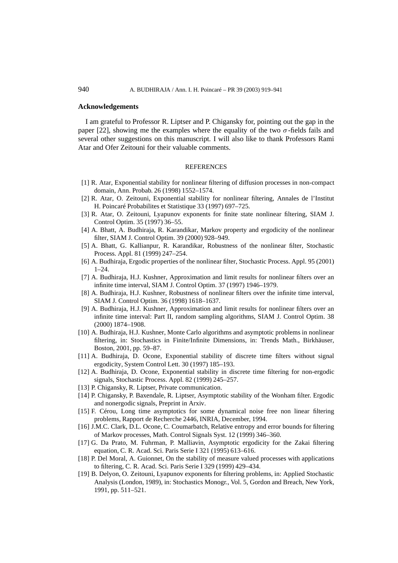# **Acknowledgements**

I am grateful to Professor R. Liptser and P. Chigansky for, pointing out the gap in the paper [22], showing me the examples where the equality of the two  $\sigma$ -fields fails and several other suggestions on this manuscript. I will also like to thank Professors Rami Atar and Ofer Zeitouni for their valuable comments.

### **REFERENCES**

- [1] R. Atar, Exponential stability for nonlinear filtering of diffusion processes in non-compact domain, Ann. Probab. 26 (1998) 1552–1574.
- [2] R. Atar, O. Zeitouni, Exponential stability for nonlinear filtering, Annales de l'Institut H. Poincaré Probabilites et Statistique 33 (1997) 697–725.
- [3] R. Atar, O. Zeitouni, Lyapunov exponents for finite state nonlinear filtering, SIAM J. Control Optim. 35 (1997) 36–55.
- [4] A. Bhatt, A. Budhiraja, R. Karandikar, Markov property and ergodicity of the nonlinear filter, SIAM J. Control Optim. 39 (2000) 928–949.
- [5] A. Bhatt, G. Kallianpur, R. Karandikar, Robustness of the nonlinear filter, Stochastic Process. Appl. 81 (1999) 247–254.
- [6] A. Budhiraja, Ergodic properties of the nonlinear filter, Stochastic Process. Appl. 95 (2001)  $1 - 24$ .
- [7] A. Budhiraja, H.J. Kushner, Approximation and limit results for nonlinear filters over an infinite time interval, SIAM J. Control Optim. 37 (1997) 1946–1979.
- [8] A. Budhiraja, H.J. Kushner, Robustness of nonlinear filters over the infinite time interval, SIAM J. Control Optim. 36 (1998) 1618–1637.
- [9] A. Budhiraja, H.J. Kushner, Approximation and limit results for nonlinear filters over an infinite time interval: Part II, random sampling algorithms, SIAM J. Control Optim. 38 (2000) 1874–1908.
- [10] A. Budhiraja, H.J. Kushner, Monte Carlo algorithms and asymptotic problems in nonlinear filtering, in: Stochastics in Finite/Infinite Dimensions, in: Trends Math., Birkhäuser, Boston, 2001, pp. 59–87.
- [11] A. Budhiraja, D. Ocone, Exponential stability of discrete time filters without signal ergodicity, System Control Lett. 30 (1997) 185–193.
- [12] A. Budhiraja, D. Ocone, Exponential stability in discrete time filtering for non-ergodic signals, Stochastic Process. Appl. 82 (1999) 245–257.
- [13] P. Chigansky, R. Liptser, Private communication.
- [14] P. Chigansky, P. Baxendale, R. Liptser, Asymptotic stability of the Wonham filter. Ergodic and nonergodic signals, Preprint in Arxiv.
- [15] F. Cérou, Long time asymptotics for some dynamical noise free non linear filtering problems, Rapport de Recherche 2446, INRIA, December, 1994.
- [16] J.M.C. Clark, D.L. Ocone, C. Coumarbatch, Relative entropy and error bounds for filtering of Markov processes, Math. Control Signals Syst. 12 (1999) 346–360.
- [17] G. Da Prato, M. Fuhrman, P. Malliavin, Asymptotic ergodicity for the Zakai filtering equation, C. R. Acad. Sci. Paris Serie I 321 (1995) 613–616.
- [18] P. Del Moral, A. Guionnet, On the stability of measure valued processes with applications to filtering, C. R. Acad. Sci. Paris Serie I 329 (1999) 429–434.
- [19] B. Delyon, O. Zeitouni, Lyapunov exponents for filtering problems, in: Applied Stochastic Analysis (London, 1989), in: Stochastics Monogr., Vol. 5, Gordon and Breach, New York, 1991, pp. 511–521.